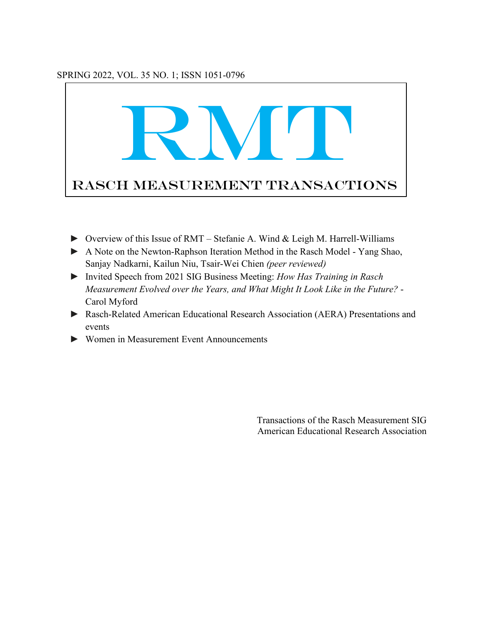### SPRING 2022, VOL. 35 NO. 1; ISSN 1051-0796



- ► Overview of this Issue of RMT Stefanie A. Wind & Leigh M. Harrell-Williams
- ► A Note on the Newton-Raphson Iteration Method in the Rasch Model Yang Shao, Sanjay Nadkarni, Kailun Niu, Tsair-Wei Chien *(peer reviewed)*
- ► Invited Speech from 2021 SIG Business Meeting: *How Has Training in Rasch Measurement Evolved over the Years, and What Might It Look Like in the Future?* - Carol Myford
- ► Rasch-Related American Educational Research Association (AERA) Presentations and events
- ► Women in Measurement Event Announcements

Transactions of the Rasch Measurement SIG American Educational Research Association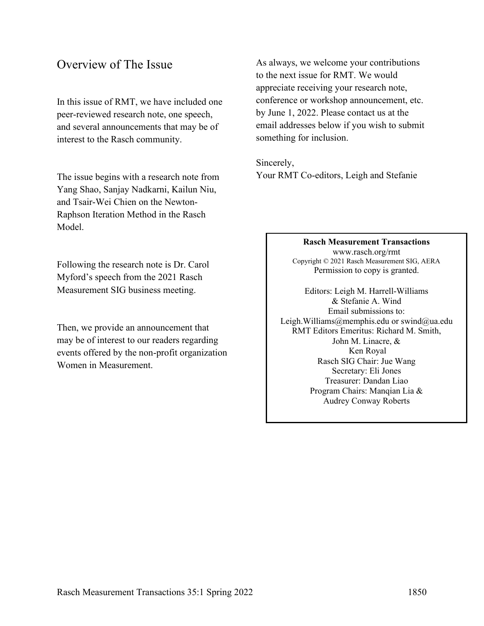# Overview of The Issue

In this issue of RMT, we have included one peer-reviewed research note, one speech, and several announcements that may be of interest to the Rasch community.

The issue begins with a research note from Yang Shao, Sanjay Nadkarni, Kailun Niu, and Tsair-Wei Chien on the Newton-Raphson Iteration Method in the Rasch Model.

Following the research note is Dr. Carol Myford's speech from the 2021 Rasch Measurement SIG business meeting.

Then, we provide an announcement that may be of interest to our readers regarding events offered by the non-profit organization Women in Measurement.

As always, we welcome your contributions to the next issue for RMT. We would appreciate receiving your research note, conference or workshop announcement, etc. by June 1, 2022. Please contact us at the email addresses below if you wish to submit something for inclusion.

Sincerely, Your RMT Co-editors, Leigh and Stefanie

#### **Rasch Measurement Transactions**

www.rasch.org/rmt Copyright © 2021 Rasch Measurement SIG, AERA Permission to copy is granted.

Editors: Leigh M. Harrell-Williams & Stefanie A. Wind Email submissions to: Leigh.Williams@memphis.edu or swind@ua.edu RMT Editors Emeritus: Richard M. Smith, John M. Linacre, & Ken Royal Rasch SIG Chair: Jue Wang Secretary: Eli Jones Treasurer: Dandan Liao Program Chairs: Manqian Lia & Audrey Conway Roberts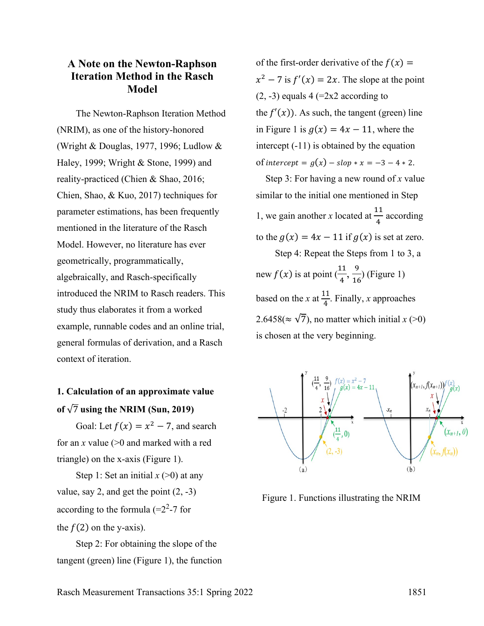## **A Note on the Newton-Raphson Iteration Method in the Rasch Model**

The Newton-Raphson Iteration Method (NRIM), as one of the history-honored (Wright & Douglas, 1977, 1996; Ludlow & Haley, 1999; Wright & Stone, 1999) and reality-practiced (Chien & Shao, 2016; Chien, Shao, & Kuo, 2017) techniques for parameter estimations, has been frequently mentioned in the literature of the Rasch Model. However, no literature has ever geometrically, programmatically, algebraically, and Rasch-specifically introduced the NRIM to Rasch readers. This study thus elaborates it from a worked example, runnable codes and an online trial, general formulas of derivation, and a Rasch context of iteration.

# **1. Calculation of an approximate value**  of  $\sqrt{7}$  using the NRIM (Sun, 2019)

Goal: Let  $f(x) = x^2 - 7$ , and search for an *x* value (>0 and marked with a red triangle) on the x-axis (Figure 1).

Step 1: Set an initial  $x$  ( $>0$ ) at any value, say 2, and get the point  $(2, -3)$ according to the formula  $(=2^2-7)$  for the  $f(2)$  on the y-axis).

Step 2: For obtaining the slope of the tangent (green) line (Figure 1), the function

of the first-order derivative of the  $f(x) =$  $x^2 - 7$  is  $f'(x) = 2x$ . The slope at the point  $(2, -3)$  equals  $4 (=2x2$  according to the  $f'(x)$ ). As such, the tangent (green) line in Figure 1 is  $g(x) = 4x - 11$ , where the intercept (-11) is obtained by the equation of intercept =  $g(x)$  –  $slop * x = -3 - 4 * 2$ .

 Step 3: For having a new round of *x* value similar to the initial one mentioned in Step 1, we gain another *x* located at  $\frac{11}{4}$  according to the  $g(x) = 4x - 11$  if  $g(x)$  is set at zero. Step 4: Repeat the Steps from 1 to 3, a new  $f(x)$  is at point  $(\frac{11}{4}, \frac{9}{16})$  (Figure 1) based on the *x* at  $\frac{11}{4}$ . Finally, *x* approaches 2.6458( $\approx \sqrt{7}$ ), no matter which initial *x* (>0) is chosen at the very beginning.



Figure 1. Functions illustrating the NRIM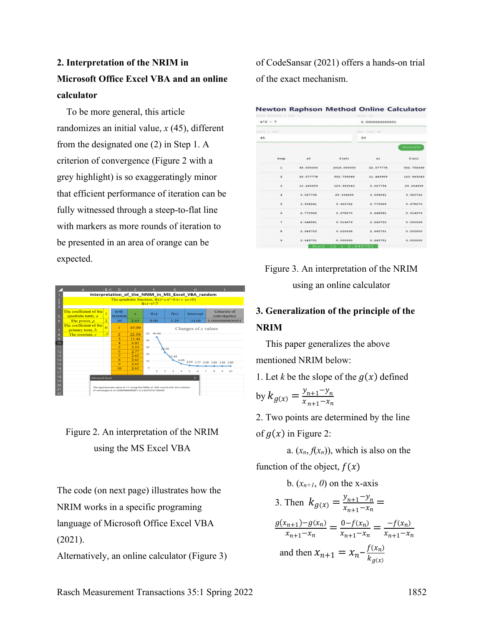# **2. Interpretation of the NRIM in Microsoft Office Excel VBA and an online calculator**

 To be more general, this article randomizes an initial value, *x* (45), different from the designated one (2) in Step 1. A criterion of convergence (Figure 2 with a grey highlight) is so exaggeratingly minor that efficient performance of iteration can be fully witnessed through a steep-to-flat line with markers as more rounds of iteration to be presented in an area of orange can be expected.



# Figure 2. An interpretation of the NRIM using the MS Excel VBA

The code (on next page) illustrates how the NRIM works in a specific programing language of Microsoft Office Excel VBA

(2021).

Alternatively, an online calculator (Figure 3)

of CodeSansar (2021) offers a hands-on trial of the exact mechanism.

|  |  | <b>Newton Raphson Method Online Calculator</b> |
|--|--|------------------------------------------------|
|  |  |                                                |

| Industri Police Lion (A) FAX: Il |                          |                        | Screen 001<br>0.0000000000001<br>Han - Ricago (Ha) |                               |            |  |
|----------------------------------|--------------------------|------------------------|----------------------------------------------------|-------------------------------|------------|--|
| $x - 2 - 7$                      |                          |                        |                                                    |                               |            |  |
| Ended & T. L. Carl F.            |                          |                        |                                                    |                               |            |  |
| 45                               |                          |                        | 50                                                 |                               |            |  |
|                                  |                          |                        |                                                    |                               | CALCULATE  |  |
|                                  | <b>Step</b>              | $\mathbf{H}^{\bullet}$ | f(MO)                                              | $\times 1$                    | f(x)       |  |
|                                  | a.                       | 45.000000              | 2018.000000                                        | 22.577778                     | 502.756049 |  |
|                                  | ä.                       | 22.577778              | 502.756049                                         | 11.443909                     | 123.963043 |  |
|                                  | $\overline{\phantom{a}}$ | 11.443909              | 123.963043                                         | 6.027794                      | 29.334299  |  |
|                                  | ٠                        | 6.027794               | 29.334299                                          | 3.594541                      | 5.920722   |  |
|                                  | b                        | 3.594541               | 5.920722                                           | 2.770969                      | 0.678270   |  |
|                                  | a<br>x                   | 2.770969               | <b>A CONTRACTOR</b><br>0.678270                    | 2.648581<br>19 19 19 19 19 19 | 0.014979   |  |
|                                  | ÷                        | 2.648581               | 0.014979                                           | 2.645753                      | 0.000000   |  |
|                                  | $\alpha$                 | 2.645753               | 0.000008                                           | 2.645751                      | 0.000000   |  |
|                                  | 9                        | 2.645751               | 0.000000                                           | 2.645751                      | 0.000000   |  |
|                                  |                          | Root                   | 1s: 2.645751                                       |                               |            |  |



# **3. Generalization of the principle of the NRIM**

 This paper generalizes the above mentioned NRIM below:

1. Let *k* be the slope of the  $g(x)$  defined

by 
$$
k_{g(x)} = \frac{y_{n+1} - y_n}{x_{n+1} - x_n}
$$

2. Two points are determined by the line

of  $g(x)$  in Figure 2:

a.  $(x_n, f(x_n))$ , which is also on the

function of the object,  $f(x)$ 

b. 
$$
(x_{n+1}, 0)
$$
 on the x-axis  
\n3. Then  $k_{g(x)} = \frac{y_{n+1} - y_n}{x_{n+1} - x_n} =$   
\n
$$
\frac{g(x_{n+1}) - g(x_n)}{x_{n+1} - x_n} = \frac{0 - f(x_n)}{x_{n+1} - x_n} = \frac{-f(x_n)}{x_{n+1} - x_n}
$$
\nand then  $x_{n+1} = x_n - \frac{f(x_n)}{k_{g(x)}}$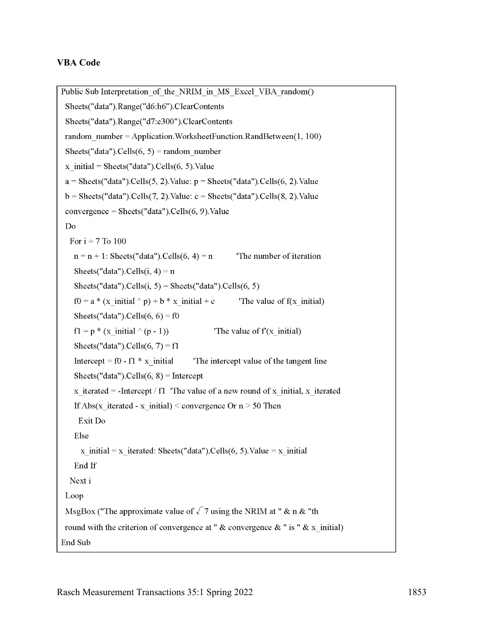#### **VBA Code**

```
Public Sub Interpretation of the NRIM in MS Excel VBA random()
 Sheets("data").Range("d6:h6").ClearContents
 Sheets("data").Range("d7:e300").ClearContents
 random number = Application. WorksheetFunction. RandBetween(1, 100)Sheets("data").Cells(6, 5) = random number
 x initial = Sheets ("data"). Cells (6, 5). Value
 a = \text{Sheets}("data").\text{Cells}(5, 2).\text{Value: } p = \text{Sheets}("data").\text{Cells}(6, 2).\text{Value}b = \text{Sheets}("data").\text{Cells}(7, 2).\text{Value: } c = \text{Sheets}("data").\text{Cells}(8, 2).\text{Value}convergence = Sheets("data").Cells(6, 9).Value
 DoFor i = 7 To 100
   n = n + 1: Sheets ("data"). Cells (6, 4) = n
                                                      The number of iteration
   Sheets("data"). Cells(i, 4) = nSheets("data").Cells(i, 5) = Sheets("data").Cells(6, 5)
   f0 = a * (x initial \wedge p) + b * x initial + cThe value of f(x \text{ initial})Sheets("data"). Cells(6, 6) = f0
   f1 = p * (x \text{ initial} \land (p-1))The value of f(x \text{ initial})Sheets("data").Cells(6, 7) = f1Intercept = f0 - f1 * x initial
                                         The intercept value of the tangent line
   Sheets("data").Cells(6, 8) = Intercept
   x iterated = -Intercept / f1 'The value of a new round of x initial, x iterated
   If Abs(x iterated - x initial) < convergence Or n > 50 Then
    Exit Do
   Else
     x initial = x iterated: Sheets("data").Cells(6, 5).Value = x initial
   End If
  Next i
 Loop
 MsgBox ("The approximate value of \sqrt{7} using the NRIM at " & n & "th
 round with the criterion of convergence at " & convergence & " is " & x initial)
End Sub
```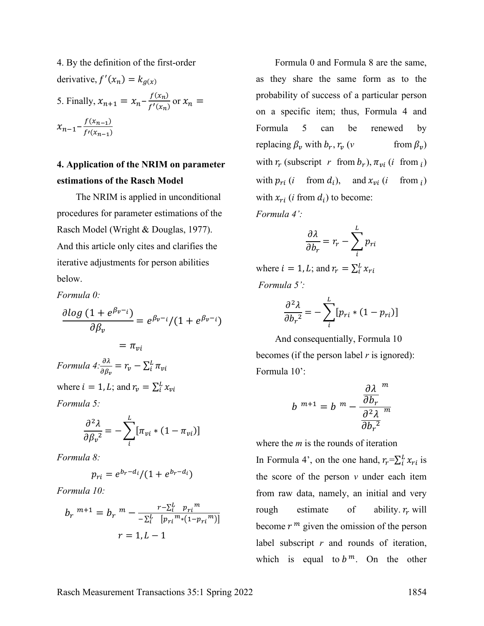4. By the definition of the first-order derivative,  $f'(x_n) = k_{g(x)}$ 5. Finally,  $x_{n+1} = x_n - \frac{f(x_n)}{f'(x_n)}$  or  $x_n =$  $x_{n-1} - \frac{f(x_{n-1})}{f'(x_{n-1})}$ 

## **4. Application of the NRIM on parameter estimations of the Rasch Model**

The NRIM is applied in unconditional procedures for parameter estimations of the Rasch Model (Wright & Douglas, 1977). And this article only cites and clarifies the iterative adjustments for person abilities below.

*Formula 0:* 

$$
\frac{\partial \log (1 + e^{\beta_v - i})}{\partial \beta_v} = e^{\beta_v - i} / (1 + e^{\beta_v - i})
$$

$$
= \pi_{vi}
$$
  
Formula  $4: \frac{\partial \lambda}{\partial \beta_v} = r_v - \sum_i^L \pi_{vi}$   
where  $i = 1, L$ ; and  $r_v = \sum_i^L x_{vi}$ 

*Formula 5:* 

$$
\frac{\partial^2 \lambda}{\partial \beta_v^2} = -\sum_i^L [\pi_{vi} * (1 - \pi_{vi})]
$$

*Formula 8:* 

$$
p_{ri}=e^{b_r-d_i}/(1+e^{b_r-d_i})
$$

*Formula 10:* 

$$
b_r^{m+1} = b_r^{m} - \frac{r - \sum_{i=1}^{L} p_{ri}^{m}}{-\sum_{i=1}^{L} [p_{ri}^{m} * (1 - p_{ri}^{m})]}
$$

$$
r = 1, L - 1
$$

Formula 0 and Formula 8 are the same, as they share the same form as to the probability of success of a particular person on a specific item; thus, Formula 4 and Formula 5 can be renewed by replacing  $\beta_v$  with  $b_r$ ,  $r_v$  (*v* from  $\beta_v$ ) with  $r_r$  (subscript  $r$  from  $b_r$ ),  $\pi_{vi}$  (*i* from  $_i$ ) with  $p_{ri}$  (*i* from  $d_i$ ), and  $x_{vi}$  (*i* from  $_i$ ) with  $x_{ri}$  (*i* from  $d_i$ ) to become: *Formula 4':* 

$$
\frac{\partial \lambda}{\partial b_r} = r_r - \sum_{i}^{L} p_{ri}
$$

where  $i = 1, L$ ; and  $r_r = \sum_{i=1}^{L} x_{ri}$ *Formula 5':* 

$$
\frac{\partial^2 \lambda}{\partial b_r^2} = -\sum_{i}^{L} [p_{ri} * (1 - p_{ri})]
$$

And consequentially, Formula 10 becomes (if the person label *r* is ignored): Formula 10':

$$
b^{m+1} = b^{m} - \frac{\frac{\partial \lambda}{\partial b_r}^{m}}{\frac{\partial^2 \lambda}{\partial b_r^2}}
$$

where the *m* is the rounds of iteration

In Formula 4', on the one hand,  $r_r = \sum_i^L x_{ri}$  is the score of the person *v* under each item from raw data, namely, an initial and very rough estimate of ability.  $r_r$  will become  $r^m$  given the omission of the person label subscript *r* and rounds of iteration, which is equal to  $b^m$ . On the other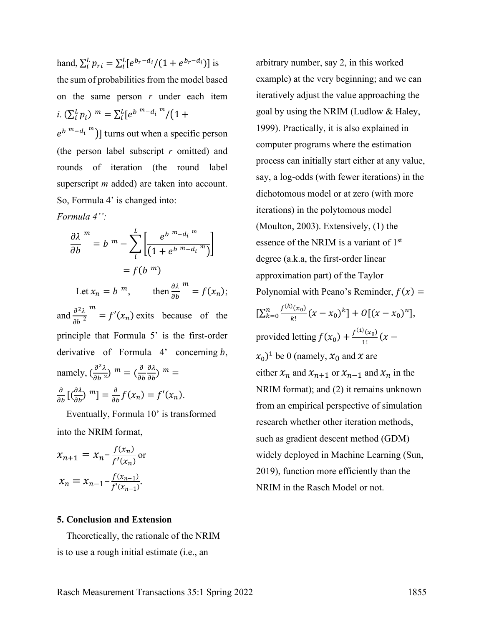hand,  $\sum_{i}^{L} p_{ri} = \sum_{i}^{L} [e^{b_r - d_i} / (1 + e^{b_r - d_i})]$  is the sum of probabilities from the model based on the same person *r* under each item *i*.  $(\sum_{i}^{L} p_i)^m = \sum_{i}^{L} [e^{b^{m}-d_i^{m}}/(1+$ 

 $\binom{b^{m}-d_i^{m}}{m}$  turns out when a specific person (the person label subscript *r* omitted) and rounds of iteration (the round label superscript *m* added) are taken into account. So, Formula 4' is changed into:

*Formula 4'':* 

$$
\frac{\partial \lambda^{m}}{\partial b} = b^{m} - \sum_{i}^{L} \left[ \frac{e^{b^{m} - d_{i}^{m}}}{\left( 1 + e^{b^{m} - d_{i}^{m}} \right)} \right]
$$

$$
= f(b^{m})
$$

Let  $x_n = b^m$ , then  $\frac{\partial \lambda}{\partial b}$  $m = f(x_n);$ and  $\frac{\partial^2}{\partial x^2}$  $\partial b$ <sup>2</sup>  $m = f'(x_n)$  exits because of the principle that Formula 5' is the first-order derivative of Formula  $4'$  concerning  $b$ , namely,  $\left(\frac{\partial^2 \lambda}{\partial b^2}\right)^m = \left(\frac{\partial}{\partial b^2}\right)^m$  $\frac{\partial \lambda}{\partial b}$  m =  $\frac{\partial}{\partial b} \left[ \left( \frac{\partial \lambda}{\partial b} \right)^m \right] = \frac{\partial}{\partial b} f(x_n) = f'(x_n).$ 

 Eventually, Formula 10' is transformed into the NRIM format,

$$
x_{n+1} = x_n - \frac{f(x_n)}{f'(x_n)} \text{ or}
$$
  

$$
x_n = x_{n-1} - \frac{f(x_{n-1})}{f'(x_{n-1})}.
$$

#### **5. Conclusion and Extension**

 Theoretically, the rationale of the NRIM is to use a rough initial estimate (i.e., an

arbitrary number, say 2, in this worked example) at the very beginning; and we can iteratively adjust the value approaching the goal by using the NRIM (Ludlow & Haley, 1999). Practically, it is also explained in computer programs where the estimation process can initially start either at any value, say, a log-odds (with fewer iterations) in the dichotomous model or at zero (with more iterations) in the polytomous model (Moulton, 2003). Extensively, (1) the essence of the NRIM is a variant of 1<sup>st</sup> degree (a.k.a, the first-order linear approximation part) of the Taylor Polynomial with Peano's Reminder,  $f(x) =$  $[\sum_{k=0}^{n} \frac{f^{(k)}(x_0)}{k!} (x - x_0)^k] + O[(x - x_0)^n],$ provided letting  $f(x_0) + \frac{f^{(1)}(x_0)}{1!}(x (x_0)^1$  be 0 (namely,  $x_0$  and x are either  $x_n$  and  $x_{n+1}$  or  $x_{n-1}$  and  $x_n$  in the NRIM format); and (2) it remains unknown from an empirical perspective of simulation research whether other iteration methods, such as gradient descent method (GDM) widely deployed in Machine Learning (Sun, 2019), function more efficiently than the NRIM in the Rasch Model or not.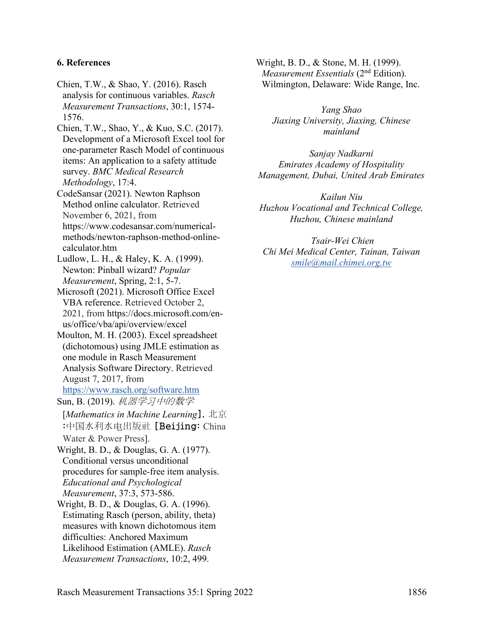#### **6. References**

- Chien, T.W., & Shao, Y. (2016). Rasch analysis for continuous variables. *Rasch Measurement Transactions*, 30:1, 1574- 1576.
- Chien, T.W., Shao, Y., & Kuo, S.C. (2017). Development of a Microsoft Excel tool for one-parameter Rasch Model of continuous items: An application to a safety attitude survey. *BMC Medical Research Methodology*, 17:4.
- CodeSansar (2021). Newton Raphson Method online calculator. Retrieved November 6, 2021, from https://www.codesansar.com/numericalmethods/newton-raphson-method-onlinecalculator.htm
- Ludlow, L. H., & Haley, K. A. (1999). Newton: Pinball wizard? *Popular Measurement*, Spring, 2:1, 5-7.
- Microsoft (2021). Microsoft Office Excel VBA reference. Retrieved October 2, 2021, from https://docs.microsoft.com/enus/office/vba/api/overview/excel
- Moulton, M. H. (2003). Excel spreadsheet (dichotomous) using JMLE estimation as one module in Rasch Measurement Analysis Software Directory. Retrieved August 7, 2017, from <https://www.rasch.org/software.htm>
- Sun, B. (2019). 机器学习中的数学 [*Mathematics in Machine Learning*]. 北京 :中国水利水电出版社 [Beijing: China
- Water & Power Press].
- Wright, B. D., & Douglas, G. A. (1977). Conditional versus unconditional procedures for sample-free item analysis. *Educational and Psychological Measurement*, 37:3, 573-586.
- Wright, B. D., & Douglas, G. A. (1996). Estimating Rasch (person, ability, theta) measures with known dichotomous item difficulties: Anchored Maximum Likelihood Estimation (AMLE). *Rasch Measurement Transactions*, 10:2, 499.

Wright, B. D., & Stone, M. H. (1999). *Measurement Essentials* (2<sup>nd</sup> Edition). Wilmington, Delaware: Wide Range, Inc.

*Yang Shao Jiaxing University, Jiaxing, Chinese mainland* 

*Sanjay Nadkarni Emirates Academy of Hospitality Management, Dubai, United Arab Emirates* 

*Kailun Niu Huzhou Vocational and Technical College, Huzhou, Chinese mainland* 

 *Tsair-Wei Chien Chi Mei Medical Center, Tainan, Taiwan [smile@mail.chimei.org.tw](mailto:smile@mail.chimei.org.tw)*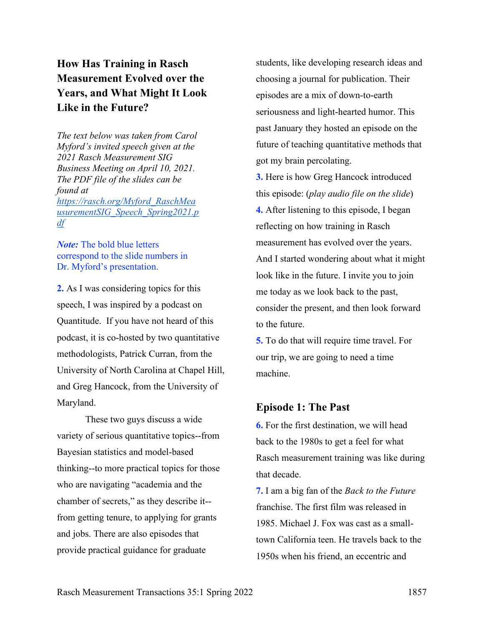# **How Has Training in Rasch Measurement Evolved over the Years, and What Might It Look Like in the Future?**

*The text below was taken from Carol Myford's invited speech given at the 2021 Rasch Measurement SIG Business Meeting on April 10, 2021. The PDF file of the slides can be found at [https://rasch.org/Myford\\_RaschMea](https://rasch.org/Myford_RaschMeausurementSIG_Speech_Spring2021.pdf) [usurementSIG\\_Speech\\_Spring2021.p](https://rasch.org/Myford_RaschMeausurementSIG_Speech_Spring2021.pdf) [df](https://rasch.org/Myford_RaschMeausurementSIG_Speech_Spring2021.pdf)*

*Note:* The bold blue letters correspond to the slide numbers in Dr. Myford's presentation.

**2.** As I was considering topics for this speech, I was inspired by a podcast on Quantitude. If you have not heard of this podcast, it is co-hosted by two quantitative methodologists, Patrick Curran, from the University of North Carolina at Chapel Hill, and Greg Hancock, from the University of Maryland.

These two guys discuss a wide variety of serious quantitative topics--from Bayesian statistics and model-based thinking--to more practical topics for those who are navigating "academia and the chamber of secrets," as they describe it- from getting tenure, to applying for grants and jobs. There are also episodes that provide practical guidance for graduate

students, like developing research ideas and choosing a journal for publication. Their episodes are a mix of down-to-earth seriousness and light-hearted humor. This past January they hosted an episode on the future of teaching quantitative methods that got my brain percolating.

**3.** Here is how Greg Hancock introduced this episode: (*play audio file on the slide*) **4.** After listening to this episode, I began reflecting on how training in Rasch measurement has evolved over the years. And I started wondering about what it might look like in the future. I invite you to join me today as we look back to the past, consider the present, and then look forward to the future.

**5.** To do that will require time travel. For our trip, we are going to need a time machine.

### **Episode 1: The Past**

**6.** For the first destination, we will head back to the 1980s to get a feel for what Rasch measurement training was like during that decade.

**7.** I am a big fan of the *Back to the Future* franchise. The first film was released in 1985. Michael J. Fox was cast as a smalltown California teen. He travels back to the 1950s when his friend, an eccentric and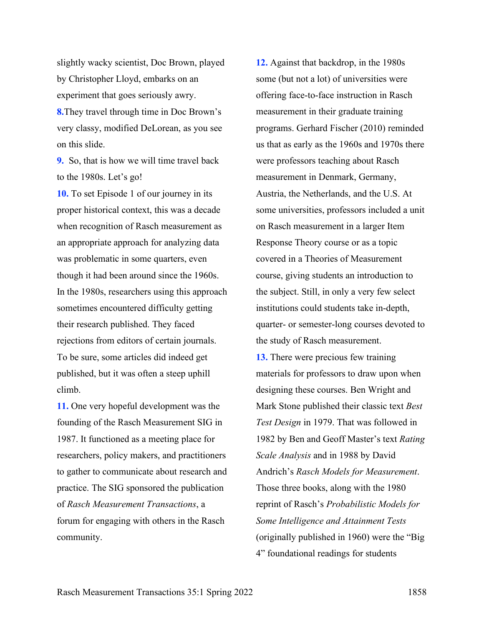slightly wacky scientist, Doc Brown, played by Christopher Lloyd, embarks on an experiment that goes seriously awry. **8.**They travel through time in Doc Brown's very classy, modified DeLorean, as you see on this slide.

**9.** So, that is how we will time travel back to the 1980s. Let's go!

**10.** To set Episode 1 of our journey in its proper historical context, this was a decade when recognition of Rasch measurement as an appropriate approach for analyzing data was problematic in some quarters, even though it had been around since the 1960s. In the 1980s, researchers using this approach sometimes encountered difficulty getting their research published. They faced rejections from editors of certain journals. To be sure, some articles did indeed get published, but it was often a steep uphill climb.

**11.** One very hopeful development was the founding of the Rasch Measurement SIG in 1987. It functioned as a meeting place for researchers, policy makers, and practitioners to gather to communicate about research and practice. The SIG sponsored the publication of *Rasch Measurement Transactions*, a forum for engaging with others in the Rasch community.

**12.** Against that backdrop, in the 1980s some (but not a lot) of universities were offering face-to-face instruction in Rasch measurement in their graduate training programs. Gerhard Fischer (2010) reminded us that as early as the 1960s and 1970s there were professors teaching about Rasch measurement in Denmark, Germany, Austria, the Netherlands, and the U.S. At some universities, professors included a unit on Rasch measurement in a larger Item Response Theory course or as a topic covered in a Theories of Measurement course, giving students an introduction to the subject. Still, in only a very few select institutions could students take in-depth, quarter- or semester-long courses devoted to the study of Rasch measurement.

**13.** There were precious few training materials for professors to draw upon when designing these courses. Ben Wright and Mark Stone published their classic text *Best Test Design* in 1979. That was followed in 1982 by Ben and Geoff Master's text *Rating Scale Analysis* and in 1988 by David Andrich's *Rasch Models for Measurement*. Those three books, along with the 1980 reprint of Rasch's *Probabilistic Models for Some Intelligence and Attainment Tests*  (originally published in 1960) were the "Big 4" foundational readings for students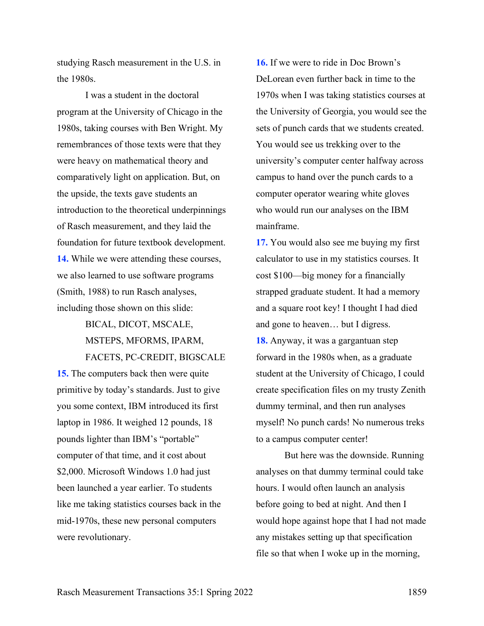studying Rasch measurement in the U.S. in the 1980s.

I was a student in the doctoral program at the University of Chicago in the 1980s, taking courses with Ben Wright. My remembrances of those texts were that they were heavy on mathematical theory and comparatively light on application. But, on the upside, the texts gave students an introduction to the theoretical underpinnings of Rasch measurement, and they laid the foundation for future textbook development. **14.** While we were attending these courses, we also learned to use software programs (Smith, 1988) to run Rasch analyses, including those shown on this slide:

# BICAL, DICOT, MSCALE, MSTEPS, MFORMS, IPARM, FACETS, PC-CREDIT, BIGSCALE

**15.** The computers back then were quite primitive by today's standards. Just to give you some context, IBM introduced its first laptop in 1986. It weighed 12 pounds, 18 pounds lighter than IBM's "portable" computer of that time, and it cost about \$2,000. Microsoft Windows 1.0 had just been launched a year earlier. To students like me taking statistics courses back in the mid-1970s, these new personal computers were revolutionary.

**16.** If we were to ride in Doc Brown's DeLorean even further back in time to the 1970s when I was taking statistics courses at the University of Georgia, you would see the sets of punch cards that we students created. You would see us trekking over to the university's computer center halfway across campus to hand over the punch cards to a computer operator wearing white gloves who would run our analyses on the IBM mainframe.

**17.** You would also see me buying my first calculator to use in my statistics courses. It cost \$100—big money for a financially strapped graduate student. It had a memory and a square root key! I thought I had died and gone to heaven… but I digress. **18.** Anyway, it was a gargantuan step forward in the 1980s when, as a graduate student at the University of Chicago, I could create specification files on my trusty Zenith dummy terminal, and then run analyses myself! No punch cards! No numerous treks to a campus computer center!

But here was the downside. Running analyses on that dummy terminal could take hours. I would often launch an analysis before going to bed at night. And then I would hope against hope that I had not made any mistakes setting up that specification file so that when I woke up in the morning,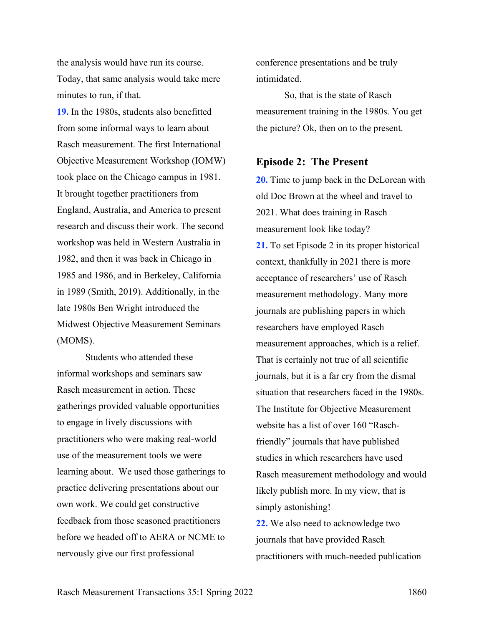the analysis would have run its course. Today, that same analysis would take mere minutes to run, if that.

**19.** In the 1980s, students also benefitted from some informal ways to learn about Rasch measurement. The first International Objective Measurement Workshop (IOMW) took place on the Chicago campus in 1981. It brought together practitioners from England, Australia, and America to present research and discuss their work. The second workshop was held in Western Australia in 1982, and then it was back in Chicago in 1985 and 1986, and in Berkeley, California in 1989 (Smith, 2019). Additionally, in the late 1980s Ben Wright introduced the Midwest Objective Measurement Seminars (MOMS).

Students who attended these informal workshops and seminars saw Rasch measurement in action. These gatherings provided valuable opportunities to engage in lively discussions with practitioners who were making real-world use of the measurement tools we were learning about. We used those gatherings to practice delivering presentations about our own work. We could get constructive feedback from those seasoned practitioners before we headed off to AERA or NCME to nervously give our first professional

conference presentations and be truly intimidated.

So, that is the state of Rasch measurement training in the 1980s. You get the picture? Ok, then on to the present.

#### **Episode 2: The Present**

**20.** Time to jump back in the DeLorean with old Doc Brown at the wheel and travel to 2021. What does training in Rasch measurement look like today? **21.** To set Episode 2 in its proper historical context, thankfully in 2021 there is more acceptance of researchers' use of Rasch measurement methodology. Many more journals are publishing papers in which researchers have employed Rasch measurement approaches, which is a relief. That is certainly not true of all scientific journals, but it is a far cry from the dismal situation that researchers faced in the 1980s. The Institute for Objective Measurement website has a list of over 160 "Raschfriendly" journals that have published studies in which researchers have used Rasch measurement methodology and would likely publish more. In my view, that is simply astonishing!

**22.** We also need to acknowledge two journals that have provided Rasch practitioners with much-needed publication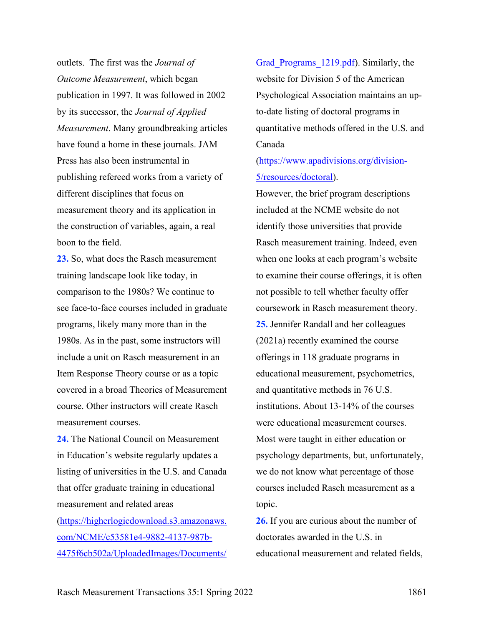outlets. The first was the *Journal of Outcome Measurement*, which began publication in 1997. It was followed in 2002 by its successor, the *Journal of Applied Measurement*. Many groundbreaking articles have found a home in these journals. JAM Press has also been instrumental in publishing refereed works from a variety of different disciplines that focus on measurement theory and its application in the construction of variables, again, a real boon to the field.

**23.** So, what does the Rasch measurement training landscape look like today, in comparison to the 1980s? We continue to see face-to-face courses included in graduate programs, likely many more than in the 1980s. As in the past, some instructors will include a unit on Rasch measurement in an Item Response Theory course or as a topic covered in a broad Theories of Measurement course. Other instructors will create Rasch measurement courses.

**24.** The National Council on Measurement in Education's website regularly updates a listing of universities in the U.S. and Canada that offer graduate training in educational measurement and related areas [\(https://higherlogicdownload.s3.amazonaws.](https://higherlogicdownload.s3.amazonaws.com/NCME/c53581e4-9882-4137-987b-4475f6cb502a/UploadedImages/Documents/Grad_Programs_1219.pdf)

[com/NCME/c53581e4-9882-4137-987b-](https://higherlogicdownload.s3.amazonaws.com/NCME/c53581e4-9882-4137-987b-4475f6cb502a/UploadedImages/Documents/Grad_Programs_1219.pdf)[4475f6cb502a/UploadedImages/Documents/](https://higherlogicdownload.s3.amazonaws.com/NCME/c53581e4-9882-4137-987b-4475f6cb502a/UploadedImages/Documents/Grad_Programs_1219.pdf) Grad Programs 1219.pdf). Similarly, the website for Division 5 of the American Psychological Association maintains an upto-date listing of doctoral programs in quantitative methods offered in the U.S. and Canada

[\(https://www.apadivisions.org/division-](https://www.apadivisions.org/division-5/resources/doctoral)[5/resources/doctoral\)](https://www.apadivisions.org/division-5/resources/doctoral).

However, the brief program descriptions included at the NCME website do not identify those universities that provide Rasch measurement training. Indeed, even when one looks at each program's website to examine their course offerings, it is often not possible to tell whether faculty offer coursework in Rasch measurement theory. **25.** Jennifer Randall and her colleagues (2021a) recently examined the course offerings in 118 graduate programs in educational measurement, psychometrics, and quantitative methods in 76 U.S. institutions. About 13-14% of the courses were educational measurement courses. Most were taught in either education or psychology departments, but, unfortunately, we do not know what percentage of those courses included Rasch measurement as a topic.

**26.** If you are curious about the number of doctorates awarded in the U.S. in educational measurement and related fields,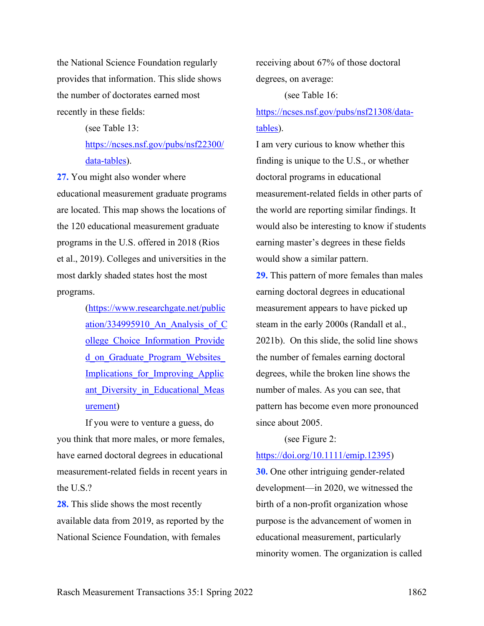the National Science Foundation regularly provides that information. This slide shows the number of doctorates earned most recently in these fields:

> (see Table 13: [https://ncses.nsf.gov/pubs/nsf22300/](https://ncses.nsf.gov/pubs/nsf22300/data-tables) [data-tables\)](https://ncses.nsf.gov/pubs/nsf22300/data-tables).

**27.** You might also wonder where educational measurement graduate programs are located. This map shows the locations of the 120 educational measurement graduate programs in the U.S. offered in 2018 (Rios et al., 2019). Colleges and universities in the most darkly shaded states host the most programs.

> [\(https://www.researchgate.net/public](https://www.researchgate.net/publication/334995910_An_Analysis_of_College_Choice_Information_Provided_on_Graduate_Program_Websites_Implications_for_Improving_Applicant_Diversity_in_Educational_Measurement) ation/334995910 An Analysis of C ollege Choice Information Provide d\_on\_Graduate\_Program\_Websites Implications for Improving Applic ant Diversity in Educational Meas [urement\)](https://www.researchgate.net/publication/334995910_An_Analysis_of_College_Choice_Information_Provided_on_Graduate_Program_Websites_Implications_for_Improving_Applicant_Diversity_in_Educational_Measurement)

If you were to venture a guess, do you think that more males, or more females, have earned doctoral degrees in educational measurement-related fields in recent years in the U.S.?

**28.** This slide shows the most recently available data from 2019, as reported by the National Science Foundation, with females

receiving about 67% of those doctoral degrees, on average:

(see Table 16:

[https://ncses.nsf.gov/pubs/nsf21308/data](https://ncses.nsf.gov/pubs/nsf21308/data-tables)[tables\)](https://ncses.nsf.gov/pubs/nsf21308/data-tables).

I am very curious to know whether this finding is unique to the U.S., or whether doctoral programs in educational measurement-related fields in other parts of the world are reporting similar findings. It would also be interesting to know if students earning master's degrees in these fields would show a similar pattern.

**29.** This pattern of more females than males earning doctoral degrees in educational measurement appears to have picked up steam in the early 2000s (Randall et al., 2021b). On this slide, the solid line shows the number of females earning doctoral degrees, while the broken line shows the number of males. As you can see, that pattern has become even more pronounced since about 2005.

#### (see Figure 2:

#### [https://doi.org/10.1111/emip.12395\)](https://doi.org/10.1111/emip.12395)

**30.** One other intriguing gender-related development—in 2020, we witnessed the birth of a non-profit organization whose purpose is the advancement of women in educational measurement, particularly minority women. The organization is called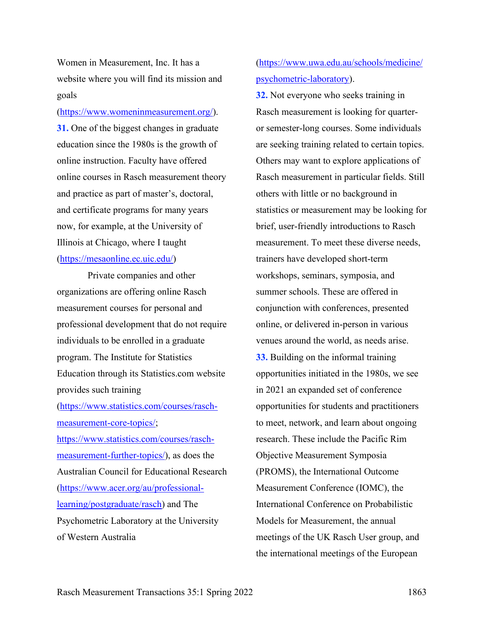Women in Measurement, Inc. It has a website where you will find its mission and goals

#### [\(https://www.womeninmeasurement.org/\)](https://www.womeninmeasurement.org/).

**31.** One of the biggest changes in graduate education since the 1980s is the growth of online instruction. Faculty have offered online courses in Rasch measurement theory and practice as part of master's, doctoral, and certificate programs for many years now, for example, at the University of Illinois at Chicago, where I taught [\(https://mesaonline.ec.uic.edu/\)](https://mesaonline.ec.uic.edu/)

Private companies and other organizations are offering online Rasch measurement courses for personal and professional development that do not require individuals to be enrolled in a graduate program. The Institute for Statistics Education through its Statistics.com website provides such training [\(https://www.statistics.com/courses/rasch](https://www.statistics.com/courses/rasch-measurement-core-topics/)[measurement-core-topics/;](https://www.statistics.com/courses/rasch-measurement-core-topics/) [https://www.statistics.com/courses/rasch](https://www.statistics.com/courses/rasch-measurement-further-topics/)[measurement-further-topics/\)](https://www.statistics.com/courses/rasch-measurement-further-topics/), as does the Australian Council for Educational Research [\(https://www.acer.org/au/professional](https://www.acer.org/au/professional-learning/postgraduate/rasch)[learning/postgraduate/rasch\)](https://www.acer.org/au/professional-learning/postgraduate/rasch) and The Psychometric Laboratory at the University of Western Australia

## [\(https://www.uwa.edu.au/schools/medicine/](https://www.uwa.edu.au/schools/medicine/psychometric-laboratory) [psychometric-laboratory\)](https://www.uwa.edu.au/schools/medicine/psychometric-laboratory).

**32.** Not everyone who seeks training in Rasch measurement is looking for quarteror semester-long courses. Some individuals are seeking training related to certain topics. Others may want to explore applications of Rasch measurement in particular fields. Still others with little or no background in statistics or measurement may be looking for brief, user-friendly introductions to Rasch measurement. To meet these diverse needs, trainers have developed short-term workshops, seminars, symposia, and summer schools. These are offered in conjunction with conferences, presented online, or delivered in-person in various venues around the world, as needs arise. **33.** Building on the informal training opportunities initiated in the 1980s, we see in 2021 an expanded set of conference opportunities for students and practitioners to meet, network, and learn about ongoing research. These include the Pacific Rim Objective Measurement Symposia (PROMS), the International Outcome Measurement Conference (IOMC), the International Conference on Probabilistic Models for Measurement, the annual meetings of the UK Rasch User group, and the international meetings of the European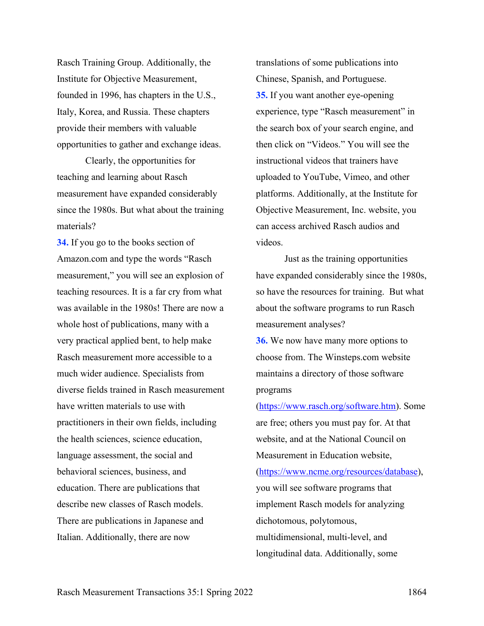Rasch Training Group. Additionally, the Institute for Objective Measurement, founded in 1996, has chapters in the U.S., Italy, Korea, and Russia. These chapters provide their members with valuable opportunities to gather and exchange ideas.

Clearly, the opportunities for teaching and learning about Rasch measurement have expanded considerably since the 1980s. But what about the training materials?

**34.** If you go to the books section of Amazon.com and type the words "Rasch measurement," you will see an explosion of teaching resources. It is a far cry from what was available in the 1980s! There are now a whole host of publications, many with a very practical applied bent, to help make Rasch measurement more accessible to a much wider audience. Specialists from diverse fields trained in Rasch measurement have written materials to use with practitioners in their own fields, including the health sciences, science education, language assessment, the social and behavioral sciences, business, and education. There are publications that describe new classes of Rasch models. There are publications in Japanese and Italian. Additionally, there are now

translations of some publications into Chinese, Spanish, and Portuguese. **35.** If you want another eye-opening experience, type "Rasch measurement" in the search box of your search engine, and then click on "Videos." You will see the instructional videos that trainers have uploaded to YouTube, Vimeo, and other platforms. Additionally, at the Institute for Objective Measurement, Inc. website, you can access archived Rasch audios and videos.

Just as the training opportunities have expanded considerably since the 1980s, so have the resources for training. But what about the software programs to run Rasch measurement analyses?

**36.** We now have many more options to choose from. The Winsteps.com website maintains a directory of those software programs

[\(https://www.rasch.org/software.htm\)](https://www.rasch.org/software.htm). Some are free; others you must pay for. At that website, and at the National Council on Measurement in Education website, [\(https://www.ncme.org/resources/database\)](https://www.ncme.org/resources/database), you will see software programs that implement Rasch models for analyzing dichotomous, polytomous, multidimensional, multi-level, and longitudinal data. Additionally, some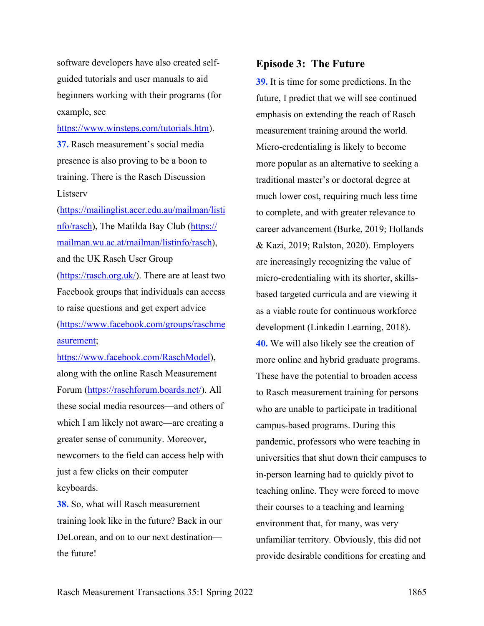software developers have also created selfguided tutorials and user manuals to aid beginners working with their programs (for example, see

[https://www.winsteps.com/tutorials.htm\)](https://www.winsteps.com/tutorials.htm).

**37.** Rasch measurement's social media presence is also proving to be a boon to training. There is the Rasch Discussion Listserv

[\(https://mailinglist.acer.edu.au/mailman/listi](https://mailinglist.acer.edu.au/mailman/listinfo/rasch) [nfo/rasch\)](https://mailinglist.acer.edu.au/mailman/listinfo/rasch), The Matilda Bay Club [\(https://](https://hosting.wu.ac.at/marketing/) [mailman.wu.ac.at/mailman/listinfo/rasch\)](https://hosting.wu.ac.at/marketing/), and the UK Rasch User Group [\(https://rasch.org.uk/\)](https://rasch.org.uk/). There are at least two Facebook groups that individuals can access to raise questions and get expert advice [\(https://www.facebook.com/groups/raschme](https://www.facebook.com/groups/raschmeasurement) [asurement;](https://www.facebook.com/groups/raschmeasurement)

[https://www.facebook.com/RaschModel\)](https://www.facebook.com/RaschModel), along with the online Rasch Measurement Forum [\(https://raschforum.boards.net/\)](https://raschforum.boards.net/). All these social media resources—and others of which I am likely not aware—are creating a greater sense of community. Moreover, newcomers to the field can access help with just a few clicks on their computer keyboards.

**38.** So, what will Rasch measurement training look like in the future? Back in our DeLorean, and on to our next destination the future!

### **Episode 3: The Future**

**39.** It is time for some predictions. In the future, I predict that we will see continued emphasis on extending the reach of Rasch measurement training around the world. Micro-credentialing is likely to become more popular as an alternative to seeking a traditional master's or doctoral degree at much lower cost, requiring much less time to complete, and with greater relevance to career advancement (Burke, 2019; Hollands & Kazi, 2019; Ralston, 2020). Employers are increasingly recognizing the value of micro-credentialing with its shorter, skillsbased targeted curricula and are viewing it as a viable route for continuous workforce development (Linkedin Learning, 2018). **40.** We will also likely see the creation of more online and hybrid graduate programs. These have the potential to broaden access to Rasch measurement training for persons who are unable to participate in traditional campus-based programs. During this pandemic, professors who were teaching in universities that shut down their campuses to in-person learning had to quickly pivot to teaching online. They were forced to move their courses to a teaching and learning environment that, for many, was very unfamiliar territory. Obviously, this did not provide desirable conditions for creating and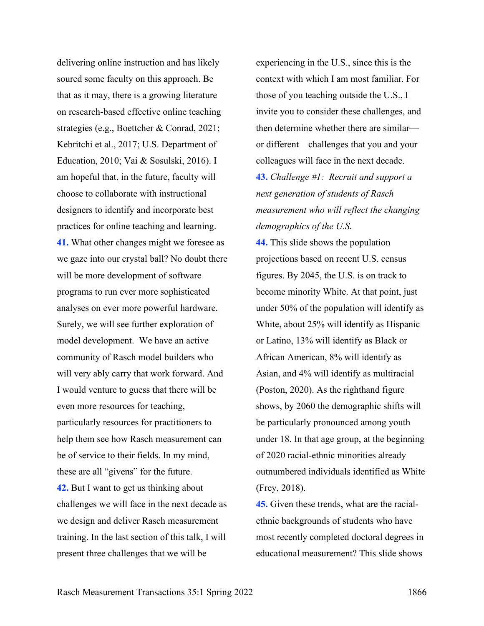delivering online instruction and has likely soured some faculty on this approach. Be that as it may, there is a growing literature on research-based effective online teaching strategies (e.g., Boettcher & Conrad, 2021; Kebritchi et al., 2017; U.S. Department of Education, 2010; Vai & Sosulski, 2016). I am hopeful that, in the future, faculty will choose to collaborate with instructional designers to identify and incorporate best practices for online teaching and learning. **41.** What other changes might we foresee as we gaze into our crystal ball? No doubt there will be more development of software programs to run ever more sophisticated analyses on ever more powerful hardware. Surely, we will see further exploration of model development. We have an active community of Rasch model builders who will very ably carry that work forward. And I would venture to guess that there will be even more resources for teaching, particularly resources for practitioners to help them see how Rasch measurement can be of service to their fields. In my mind, these are all "givens" for the future. **42.** But I want to get us thinking about challenges we will face in the next decade as we design and deliver Rasch measurement training. In the last section of this talk, I will present three challenges that we will be

experiencing in the U.S., since this is the context with which I am most familiar. For those of you teaching outside the U.S., I invite you to consider these challenges, and then determine whether there are similar or different—challenges that you and your colleagues will face in the next decade. **43.** *Challenge #1: Recruit and support a* 

*next generation of students of Rasch measurement who will reflect the changing demographics of the U.S.* 

**44.** This slide shows the population projections based on recent U.S. census figures. By 2045, the U.S. is on track to become minority White. At that point, just under 50% of the population will identify as White, about 25% will identify as Hispanic or Latino, 13% will identify as Black or African American, 8% will identify as Asian, and 4% will identify as multiracial (Poston, 2020). As the righthand figure shows, by 2060 the demographic shifts will be particularly pronounced among youth under 18. In that age group, at the beginning of 2020 racial-ethnic minorities already outnumbered individuals identified as White (Frey, 2018).

**45.** Given these trends, what are the racialethnic backgrounds of students who have most recently completed doctoral degrees in educational measurement? This slide shows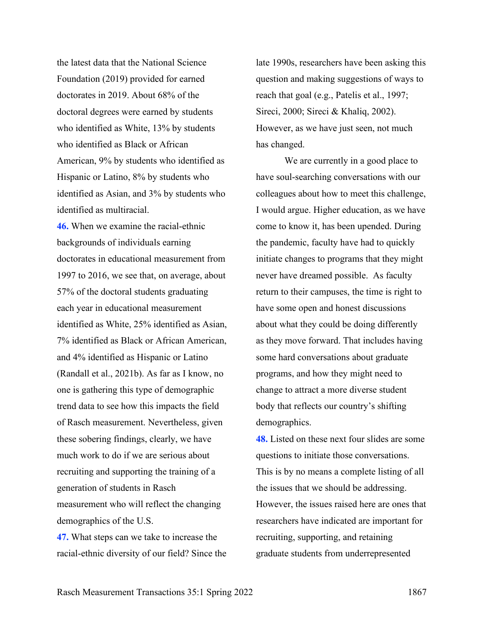the latest data that the National Science Foundation (2019) provided for earned doctorates in 2019. About 68% of the doctoral degrees were earned by students who identified as White, 13% by students who identified as Black or African American, 9% by students who identified as Hispanic or Latino, 8% by students who identified as Asian, and 3% by students who identified as multiracial.

**46.** When we examine the racial-ethnic backgrounds of individuals earning doctorates in educational measurement from 1997 to 2016, we see that, on average, about 57% of the doctoral students graduating each year in educational measurement identified as White, 25% identified as Asian, 7% identified as Black or African American, and 4% identified as Hispanic or Latino (Randall et al., 2021b). As far as I know, no one is gathering this type of demographic trend data to see how this impacts the field of Rasch measurement. Nevertheless, given these sobering findings, clearly, we have much work to do if we are serious about recruiting and supporting the training of a generation of students in Rasch measurement who will reflect the changing demographics of the U.S. **47.** What steps can we take to increase the

late 1990s, researchers have been asking this question and making suggestions of ways to reach that goal (e.g., Patelis et al., 1997; Sireci, 2000; Sireci & Khaliq, 2002). However, as we have just seen, not much has changed.

We are currently in a good place to have soul-searching conversations with our colleagues about how to meet this challenge, I would argue. Higher education, as we have come to know it, has been upended. During the pandemic, faculty have had to quickly initiate changes to programs that they might never have dreamed possible. As faculty return to their campuses, the time is right to have some open and honest discussions about what they could be doing differently as they move forward. That includes having some hard conversations about graduate programs, and how they might need to change to attract a more diverse student body that reflects our country's shifting demographics.

**48.** Listed on these next four slides are some questions to initiate those conversations. This is by no means a complete listing of all the issues that we should be addressing. However, the issues raised here are ones that researchers have indicated are important for recruiting, supporting, and retaining graduate students from underrepresented

racial-ethnic diversity of our field? Since the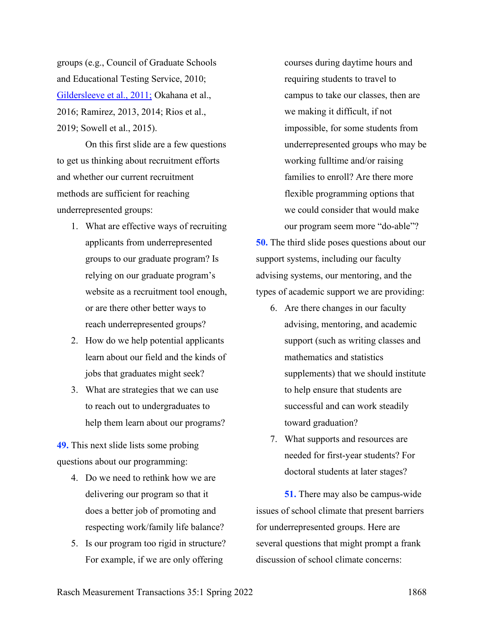groups (e.g., Council of Graduate Schools and Educational Testing Service, 2010; Gildersleeve et al., 2011; Okahana et al., 2016; Ramirez, 2013, 2014; Rios et al., 2019; Sowell et al., 2015).

On this first slide are a few questions to get us thinking about recruitment efforts and whether our current recruitment methods are sufficient for reaching underrepresented groups:

- 1. What are effective ways of recruiting applicants from underrepresented groups to our graduate program? Is relying on our graduate program's website as a recruitment tool enough, or are there other better ways to reach underrepresented groups?
- 2. How do we help potential applicants learn about our field and the kinds of jobs that graduates might seek?
- 3. What are strategies that we can use to reach out to undergraduates to help them learn about our programs?

**49.** This next slide lists some probing questions about our programming:

- 4. Do we need to rethink how we are delivering our program so that it does a better job of promoting and respecting work/family life balance?
- 5. Is our program too rigid in structure? For example, if we are only offering

courses during daytime hours and requiring students to travel to campus to take our classes, then are we making it difficult, if not impossible, for some students from underrepresented groups who may be working fulltime and/or raising families to enroll? Are there more flexible programming options that we could consider that would make our program seem more "do-able"?

**50.** The third slide poses questions about our support systems, including our faculty advising systems, our mentoring, and the types of academic support we are providing:

- 6. Are there changes in our faculty advising, mentoring, and academic support (such as writing classes and mathematics and statistics supplements) that we should institute to help ensure that students are successful and can work steadily toward graduation?
- 7. What supports and resources are needed for first-year students? For doctoral students at later stages?

**51.** There may also be campus-wide issues of school climate that present barriers for underrepresented groups. Here are several questions that might prompt a frank discussion of school climate concerns: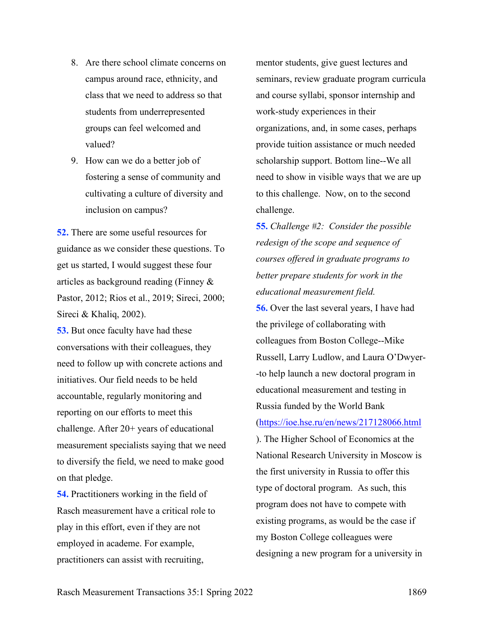- 8. Are there school climate concerns on campus around race, ethnicity, and class that we need to address so that students from underrepresented groups can feel welcomed and valued?
- 9. How can we do a better job of fostering a sense of community and cultivating a culture of diversity and inclusion on campus?

**52.** There are some useful resources for guidance as we consider these questions. To get us started, I would suggest these four articles as background reading (Finney & Pastor, 2012; Rios et al., 2019; Sireci, 2000; Sireci & Khaliq, 2002).

**53.** But once faculty have had these conversations with their colleagues, they need to follow up with concrete actions and initiatives. Our field needs to be held accountable, regularly monitoring and reporting on our efforts to meet this challenge. After 20+ years of educational measurement specialists saying that we need to diversify the field, we need to make good on that pledge.

**54.** Practitioners working in the field of Rasch measurement have a critical role to play in this effort, even if they are not employed in academe. For example, practitioners can assist with recruiting,

mentor students, give guest lectures and seminars, review graduate program curricula and course syllabi, sponsor internship and work-study experiences in their organizations, and, in some cases, perhaps provide tuition assistance or much needed scholarship support. Bottom line--We all need to show in visible ways that we are up to this challenge. Now, on to the second challenge.

**55.** *Challenge #2: Consider the possible redesign of the scope and sequence of courses offered in graduate programs to better prepare students for work in the educational measurement field.*

**56.** Over the last several years, I have had the privilege of collaborating with colleagues from Boston College--Mike Russell, Larry Ludlow, and Laura O'Dwyer- -to help launch a new doctoral program in educational measurement and testing in Russia funded by the World Bank [\(https://ioe.hse.ru/en/news/217128066.html](https://ioe.hse.ru/en/news/217128066.html) ). The Higher School of Economics at the National Research University in Moscow is the first university in Russia to offer this type of doctoral program. As such, this program does not have to compete with existing programs, as would be the case if my Boston College colleagues were designing a new program for a university in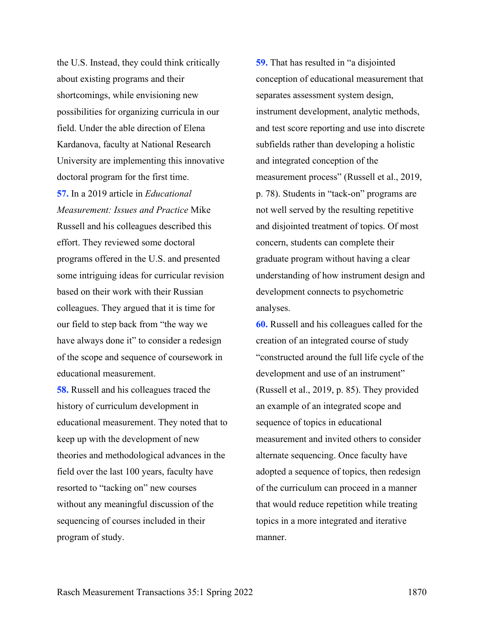the U.S. Instead, they could think critically about existing programs and their shortcomings, while envisioning new possibilities for organizing curricula in our field. Under the able direction of Elena Kardanova, faculty at National Research University are implementing this innovative doctoral program for the first time.

**57.** In a 2019 article in *Educational Measurement: Issues and Practice* Mike Russell and his colleagues described this effort. They reviewed some doctoral programs offered in the U.S. and presented some intriguing ideas for curricular revision based on their work with their Russian colleagues. They argued that it is time for our field to step back from "the way we have always done it" to consider a redesign of the scope and sequence of coursework in educational measurement.

**58.** Russell and his colleagues traced the history of curriculum development in educational measurement. They noted that to keep up with the development of new theories and methodological advances in the field over the last 100 years, faculty have resorted to "tacking on" new courses without any meaningful discussion of the sequencing of courses included in their program of study.

**59.** That has resulted in "a disjointed conception of educational measurement that separates assessment system design, instrument development, analytic methods, and test score reporting and use into discrete subfields rather than developing a holistic and integrated conception of the measurement process" (Russell et al., 2019, p. 78). Students in "tack-on" programs are not well served by the resulting repetitive and disjointed treatment of topics. Of most concern, students can complete their graduate program without having a clear understanding of how instrument design and development connects to psychometric analyses.

**60.** Russell and his colleagues called for the creation of an integrated course of study "constructed around the full life cycle of the development and use of an instrument" (Russell et al., 2019, p. 85). They provided an example of an integrated scope and sequence of topics in educational measurement and invited others to consider alternate sequencing. Once faculty have adopted a sequence of topics, then redesign of the curriculum can proceed in a manner that would reduce repetition while treating topics in a more integrated and iterative manner.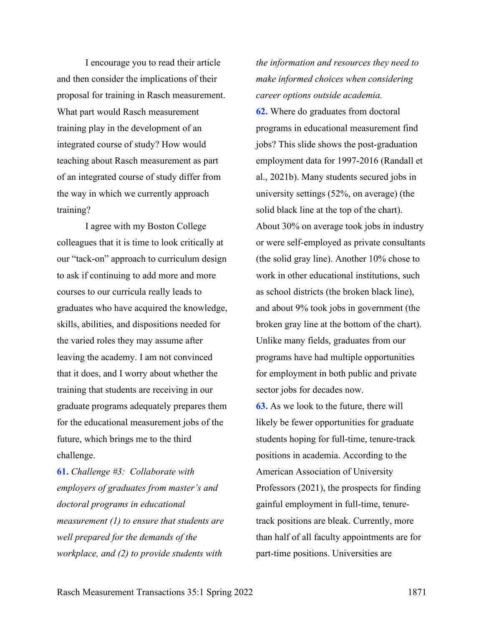I encourage you to read their article and then consider the implications of their proposal for training in Rasch measurement. What part would Rasch measurement training play in the development of an integrated course of study? How would teaching about Rasch measurement as part of an integrated course of study differ from the way in which we currently approach training?

I agree with my Boston College colleagues that it is time to look critically at our "tack-on" approach to curriculum design to ask if continuing to add more and more courses to our curricula really leads to graduates who have acquired the knowledge, skills, abilities, and dispositions needed for the varied roles they may assume after leaving the academy. I am not convinced that it does, and I worry about whether the training that students are receiving in our graduate programs adequately prepares them for the educational measurement jobs of the future, which brings me to the third challenge.

**61.** *Challenge #3: Collaborate with employers of graduates from master's and doctoral programs in educational measurement (1) to ensure that students are well prepared for the demands of the workplace, and (2) to provide students with* 

*the information and resources they need to make informed choices when considering career options outside academia.*

**62.** Where do graduates from doctoral programs in educational measurement find jobs? This slide shows the post-graduation employment data for 1997-2016 (Randall et al., 2021b). Many students secured jobs in university settings (52%, on average) (the solid black line at the top of the chart). About 30% on average took jobs in industry or were self-employed as private consultants (the solid gray line). Another 10% chose to work in other educational institutions, such as school districts (the broken black line), and about 9% took jobs in government (the broken gray line at the bottom of the chart). Unlike many fields, graduates from our programs have had multiple opportunities for employment in both public and private sector jobs for decades now.

**63.** As we look to the future, there will likely be fewer opportunities for graduate students hoping for full-time, tenure-track positions in academia. According to the American Association of University Professors (2021), the prospects for finding gainful employment in full-time, tenuretrack positions are bleak. Currently, more than half of all faculty appointments are for part-time positions. Universities are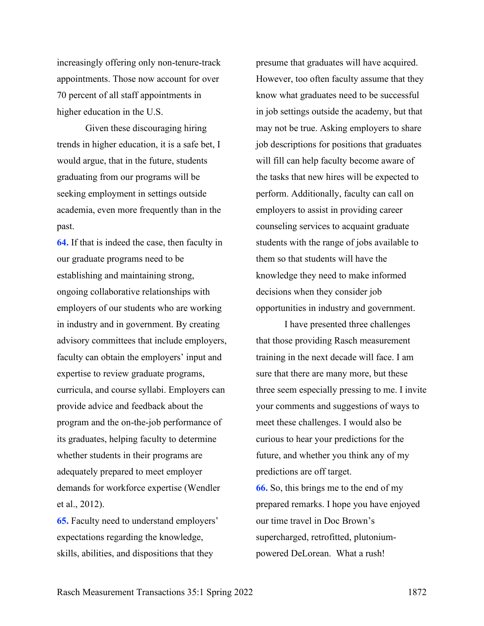increasingly offering only non-tenure-track appointments. Those now account for over 70 percent of all staff appointments in higher education in the U.S.

Given these discouraging hiring trends in higher education, it is a safe bet, I would argue, that in the future, students graduating from our programs will be seeking employment in settings outside academia, even more frequently than in the past.

**64.** If that is indeed the case, then faculty in our graduate programs need to be establishing and maintaining strong, ongoing collaborative relationships with employers of our students who are working in industry and in government. By creating advisory committees that include employers, faculty can obtain the employers' input and expertise to review graduate programs, curricula, and course syllabi. Employers can provide advice and feedback about the program and the on-the-job performance of its graduates, helping faculty to determine whether students in their programs are adequately prepared to meet employer demands for workforce expertise (Wendler et al., 2012).

**65.** Faculty need to understand employers' expectations regarding the knowledge, skills, abilities, and dispositions that they

presume that graduates will have acquired. However, too often faculty assume that they know what graduates need to be successful in job settings outside the academy, but that may not be true. Asking employers to share job descriptions for positions that graduates will fill can help faculty become aware of the tasks that new hires will be expected to perform. Additionally, faculty can call on employers to assist in providing career counseling services to acquaint graduate students with the range of jobs available to them so that students will have the knowledge they need to make informed decisions when they consider job opportunities in industry and government.

I have presented three challenges that those providing Rasch measurement training in the next decade will face. I am sure that there are many more, but these three seem especially pressing to me. I invite your comments and suggestions of ways to meet these challenges. I would also be curious to hear your predictions for the future, and whether you think any of my predictions are off target. **66.** So, this brings me to the end of my prepared remarks. I hope you have enjoyed our time travel in Doc Brown's supercharged, retrofitted, plutoniumpowered DeLorean. What a rush!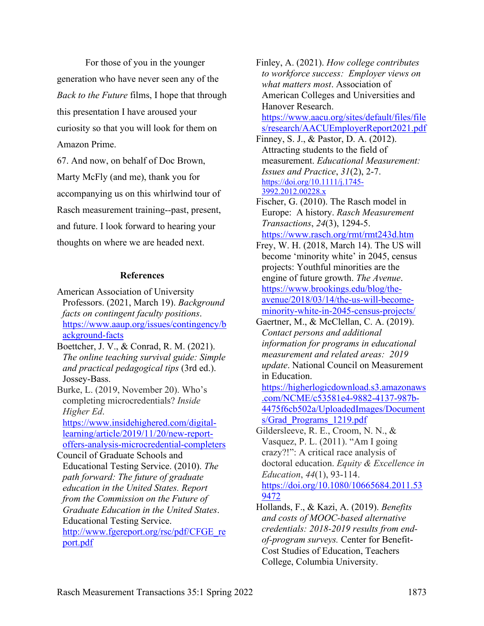For those of you in the younger generation who have never seen any of the *Back to the Future* films, I hope that through this presentation I have aroused your curiosity so that you will look for them on Amazon Prime.

67. And now, on behalf of Doc Brown, Marty McFly (and me), thank you for accompanying us on this whirlwind tour of Rasch measurement training--past, present, and future. I look forward to hearing your thoughts on where we are headed next.

#### **References**

American Association of University Professors. (2021, March 19). *Background facts on contingent faculty positions*. [https://www.aaup.org/issues/contingency/b](https://www.aaup.org/issues/contingency/background-facts) [ackground-facts](https://www.aaup.org/issues/contingency/background-facts)

Boettcher, J. V., & Conrad, R. M. (2021). *The online teaching survival guide: Simple and practical pedagogical tips* (3rd ed.). Jossey-Bass.

Burke, L. (2019, November 20). Who's completing microcredentials? *Inside Higher Ed*.

[https://www.insidehighered.com/digital](https://www.insidehighered.com/digital-learning/article/2019/11/20/new-report-offers-analysis-microcredential-completers)[learning/article/2019/11/20/new-report](https://www.insidehighered.com/digital-learning/article/2019/11/20/new-report-offers-analysis-microcredential-completers)[offers-analysis-microcredential-completers](https://www.insidehighered.com/digital-learning/article/2019/11/20/new-report-offers-analysis-microcredential-completers)

Council of Graduate Schools and Educational Testing Service. (2010). *The path forward: The future of graduate education in the United States. Report from the Commission on the Future of Graduate Education in the United States*. Educational Testing Service. [http://www.fgereport.org/rsc/pdf/CFGE\\_re](http://www.fgereport.org/rsc/pdf/CFGE_report.pdf) [port.pdf](http://www.fgereport.org/rsc/pdf/CFGE_report.pdf)

Finley, A. (2021). *How college contributes to workforce success: Employer views on what matters most*. Association of American Colleges and Universities and Hanover Research.

[https://www.aacu.org/sites/default/files/file](https://www.aacu.org/sites/default/files/files/research/AACUEmployerReport2021.pdf) [s/research/AACUEmployerReport2021.pdf](https://www.aacu.org/sites/default/files/files/research/AACUEmployerReport2021.pdf)

Finney, S. J., & Pastor, D. A. (2012). Attracting students to the field of measurement. *Educational Measurement: Issues and Practice*, *31*(2), 2-7. [https://doi.org/10.1111/j.1745-](https://doi.org/10.1111/j.1745-3992.2012.00228.x) [3992.2012.00228.x](https://doi.org/10.1111/j.1745-3992.2012.00228.x)

Fischer, G. (2010). The Rasch model in Europe: A history. *Rasch Measurement Transactions*, *24*(3), 1294-5. <https://www.rasch.org/rmt/rmt243d.htm>

Frey, W. H. (2018, March 14). The US will become 'minority white' in 2045, census projects: Youthful minorities are the engine of future growth. *The Avenue*. [https://www.brookings.edu/blog/the](https://www.brookings.edu/blog/the-avenue/2018/03/14/the-us-will-become-minority-white-in-2045-census-projects/)[avenue/2018/03/14/the-us-will-become](https://www.brookings.edu/blog/the-avenue/2018/03/14/the-us-will-become-minority-white-in-2045-census-projects/)[minority-white-in-2045-census-projects/](https://www.brookings.edu/blog/the-avenue/2018/03/14/the-us-will-become-minority-white-in-2045-census-projects/)

Gaertner, M., & McClellan, C. A. (2019). *Contact persons and additional information for programs in educational measurement and related areas: 2019 update*. National Council on Measurement in Education.

[https://higherlogicdownload.s3.amazonaws](https://higherlogicdownload.s3.amazonaws.com/NCME/c53581e4-9882-4137-987b-4475f6cb502a/UploadedImages/Documents/Grad_Programs_1219.pdf) [.com/NCME/c53581e4-9882-4137-987b-](https://higherlogicdownload.s3.amazonaws.com/NCME/c53581e4-9882-4137-987b-4475f6cb502a/UploadedImages/Documents/Grad_Programs_1219.pdf)[4475f6cb502a/UploadedImages/Document](https://higherlogicdownload.s3.amazonaws.com/NCME/c53581e4-9882-4137-987b-4475f6cb502a/UploadedImages/Documents/Grad_Programs_1219.pdf) [s/Grad\\_Programs\\_1219.pdf](https://higherlogicdownload.s3.amazonaws.com/NCME/c53581e4-9882-4137-987b-4475f6cb502a/UploadedImages/Documents/Grad_Programs_1219.pdf)

Gildersleeve, R. E., Croom, N. N., & Vasquez, P. L. (2011). "Am I going crazy?!": A critical race analysis of doctoral education. *Equity & Excellence in Education*, *44*(1), 93-114. [https://doi.org/10.1080/10665684.2011.53](https://doi.org/10.1080/10665684.2011.539472) [9472](https://doi.org/10.1080/10665684.2011.539472)

Hollands, F., & Kazi, A. (2019). *Benefits and costs of MOOC-based alternative credentials: 2018-2019 results from endof-program surveys.* Center for Benefit-Cost Studies of Education, Teachers College, Columbia University.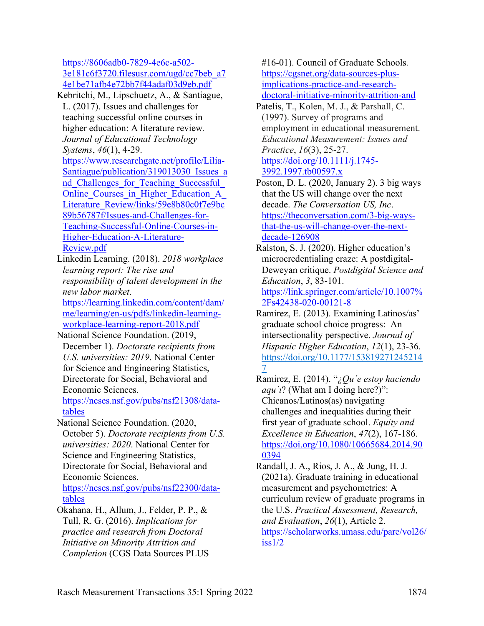[https://8606adb0-7829-4e6c-a502-](https://8606adb0-7829-4e6c-a502-3e181c6f3720.filesusr.com/ugd/cc7beb_a74e1be71afb4e72bb7f44adaf03d9eb.pdf) [3e181c6f3720.filesusr.com/ugd/cc7beb\\_a7](https://8606adb0-7829-4e6c-a502-3e181c6f3720.filesusr.com/ugd/cc7beb_a74e1be71afb4e72bb7f44adaf03d9eb.pdf) [4e1be71afb4e72bb7f44adaf03d9eb.pdf](https://8606adb0-7829-4e6c-a502-3e181c6f3720.filesusr.com/ugd/cc7beb_a74e1be71afb4e72bb7f44adaf03d9eb.pdf)

Kebritchi, M., Lipschuetz, A., & Santiague, L. (2017). Issues and challenges for teaching successful online courses in higher education: A literature review*. Journal of Educational Technology Systems*, *46*(1), 4-29. [https://www.researchgate.net/profile/Lilia-](https://www.researchgate.net/profile/Lilia-Santiague/publication/319013030_Issues_and_Challenges_for_Teaching_Successful_Online_Courses_in_Higher_Education_A_Literature_Review/links/59e8b80c0f7e9bc89b56787f/Issues-and-Challenges-for-Teaching-Successful-Online-Courses-in-Higher-Education-A-Literature-Review.pdf)Santiague/publication/319013030 Issues a nd Challenges for Teaching Successful Online Courses in Higher Education A [Literature\\_Review/links/59e8b80c0f7e9bc](https://www.researchgate.net/profile/Lilia-Santiague/publication/319013030_Issues_and_Challenges_for_Teaching_Successful_Online_Courses_in_Higher_Education_A_Literature_Review/links/59e8b80c0f7e9bc89b56787f/Issues-and-Challenges-for-Teaching-Successful-Online-Courses-in-Higher-Education-A-Literature-Review.pdf) [89b56787f/Issues-and-Challenges-for-](https://www.researchgate.net/profile/Lilia-Santiague/publication/319013030_Issues_and_Challenges_for_Teaching_Successful_Online_Courses_in_Higher_Education_A_Literature_Review/links/59e8b80c0f7e9bc89b56787f/Issues-and-Challenges-for-Teaching-Successful-Online-Courses-in-Higher-Education-A-Literature-Review.pdf)[Teaching-Successful-Online-Courses-in-](https://www.researchgate.net/profile/Lilia-Santiague/publication/319013030_Issues_and_Challenges_for_Teaching_Successful_Online_Courses_in_Higher_Education_A_Literature_Review/links/59e8b80c0f7e9bc89b56787f/Issues-and-Challenges-for-Teaching-Successful-Online-Courses-in-Higher-Education-A-Literature-Review.pdf)

[Higher-Education-A-Literature-](https://www.researchgate.net/profile/Lilia-Santiague/publication/319013030_Issues_and_Challenges_for_Teaching_Successful_Online_Courses_in_Higher_Education_A_Literature_Review/links/59e8b80c0f7e9bc89b56787f/Issues-and-Challenges-for-Teaching-Successful-Online-Courses-in-Higher-Education-A-Literature-Review.pdf)[Review.pdf](https://www.researchgate.net/profile/Lilia-Santiague/publication/319013030_Issues_and_Challenges_for_Teaching_Successful_Online_Courses_in_Higher_Education_A_Literature_Review/links/59e8b80c0f7e9bc89b56787f/Issues-and-Challenges-for-Teaching-Successful-Online-Courses-in-Higher-Education-A-Literature-Review.pdf)

Linkedin Learning. (2018). *2018 workplace learning report: The rise and responsibility of talent development in the new labor market*.

[https://learning.linkedin.com/content/dam/](https://learning.linkedin.com/content/dam/me/learning/en-us/pdfs/linkedin-learning-workplace-learning-report-2018.pdf) [me/learning/en-us/pdfs/linkedin-learning](https://learning.linkedin.com/content/dam/me/learning/en-us/pdfs/linkedin-learning-workplace-learning-report-2018.pdf)[workplace-learning-report-2018.pdf](https://learning.linkedin.com/content/dam/me/learning/en-us/pdfs/linkedin-learning-workplace-learning-report-2018.pdf)

National Science Foundation. (2019, December 1). *Doctorate recipients from U.S. universities: 2019*. National Center for Science and Engineering Statistics, Directorate for Social, Behavioral and Economic Sciences.

[https://ncses.nsf.gov/pubs/nsf21308/data](https://ncses.nsf.gov/pubs/nsf21308/data-tables)[tables](https://ncses.nsf.gov/pubs/nsf21308/data-tables)

National Science Foundation. (2020, October 5). *Doctorate recipients from U.S. universities: 2020*. National Center for Science and Engineering Statistics, Directorate for Social, Behavioral and Economic Sciences.

[https://ncses.nsf.gov/pubs/nsf22300/data](https://ncses.nsf.gov/pubs/nsf22300/data-tables)[tables](https://ncses.nsf.gov/pubs/nsf22300/data-tables)

Okahana, H., Allum, J., Felder, P. P., & Tull, R. G. (2016). *Implications for practice and research from Doctoral Initiative on Minority Attrition and Completion* (CGS Data Sources PLUS #16-01). Council of Graduate Schools. [https://cgsnet.org/data-sources-plus](https://cgsnet.org/data-sources-plus-implications-practice-and-research-doctoral-initiative-minority-attrition-and)[implications-practice-and-research](https://cgsnet.org/data-sources-plus-implications-practice-and-research-doctoral-initiative-minority-attrition-and)[doctoral-initiative-minority-attrition-and](https://cgsnet.org/data-sources-plus-implications-practice-and-research-doctoral-initiative-minority-attrition-and)

Patelis, T., Kolen, M. J., & Parshall, C. (1997). Survey of programs and employment in educational measurement. *Educational Measurement: Issues and Practice*, *16*(3), 25-27. [https://doi.org/10.1111/j.1745-](https://doi.org/10.1111/j.1745-3992.1997.tb00597.x) [3992.1997.tb00597.x](https://doi.org/10.1111/j.1745-3992.1997.tb00597.x)

Poston, D. L. (2020, January 2). 3 big ways that the US will change over the next decade. *The Conversation US, Inc*. [https://theconversation.com/3-big-ways](https://theconversation.com/3-big-ways-that-the-us-will-change-over-the-next-decade-126908)[that-the-us-will-change-over-the-next](https://theconversation.com/3-big-ways-that-the-us-will-change-over-the-next-decade-126908)[decade-126908](https://theconversation.com/3-big-ways-that-the-us-will-change-over-the-next-decade-126908)

Ralston, S. J. (2020). Higher education's microcredentialing craze: A postdigital-Deweyan critique. *Postdigital Science and Education*, *3*, 83-101.

[https://link.springer.com/article/10.1007%](https://link.springer.com/article/10.1007%2Fs42438-020-00121-8) [2Fs42438-020-00121-8](https://link.springer.com/article/10.1007%2Fs42438-020-00121-8)

- Ramirez, E. (2013). Examining Latinos/as' graduate school choice progress: An intersectionality perspective. *Journal of Hispanic Higher Education*, *12*(1), 23-36. [https://doi.org/10.1177/153819271245214](https://doi.org/10.1177%2F1538192712452147) [7](https://doi.org/10.1177%2F1538192712452147)
- Ramirez, E. (2014). "*¿Qu´e estoy haciendo aqu'i*? (What am I doing here?)": Chicanos/Latinos(as) navigating challenges and inequalities during their first year of graduate school. *Equity and Excellence in Education*, *47*(2), 167-186. [https://doi.org/10.1080/10665684.2014.90](https://doi.org/10.1080/10665684.2014.900394) [0394](https://doi.org/10.1080/10665684.2014.900394)
- Randall, J. A., Rios, J. A., & Jung, H. J. (2021a). Graduate training in educational measurement and psychometrics: A curriculum review of graduate programs in the U.S. *Practical Assessment, Research, and Evaluation*, *26*(1), Article 2. [https://scholarworks.umass.edu/pare/vol26/](https://scholarworks.umass.edu/pare/vol26/iss1/2)  $is s1/2$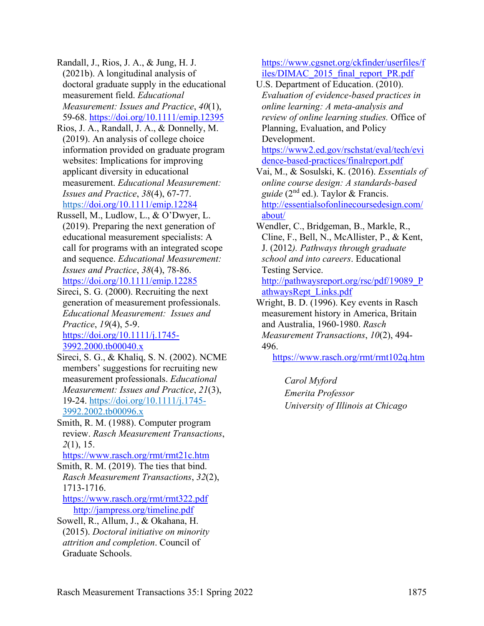Randall, J., Rios, J. A., & Jung, H. J. (2021b). A longitudinal analysis of doctoral graduate supply in the educational measurement field. *Educational Measurement: Issues and Practice*, *40*(1), 59-68.<https://doi.org/10.1111/emip.12395>

- Rios, J. A., Randall, J. A., & Donnelly, M. (2019). An analysis of college choice information provided on graduate program websites: Implications for improving applicant diversity in educational measurement. *Educational Measurement: Issues and Practice*, *38*(4), 67-77. <https://doi.org/10.1111/emip.12284>
- Russell, M., Ludlow, L., & O'Dwyer, L. (2019). Preparing the next generation of educational measurement specialists: A call for programs with an integrated scope and sequence. *Educational Measurement: Issues and Practice*, *38*(4), 78-86. <https://doi.org/10.1111/emip.12285>

Sireci, S. G. (2000). Recruiting the next generation of measurement professionals. *Educational Measurement: Issues and Practice*, *19*(4), 5-9. [https://doi.org/10.1111/j.1745-](https://doi.org/10.1111/j.1745-3992.2000.tb00040.x) [3992.2000.tb00040.x](https://doi.org/10.1111/j.1745-3992.2000.tb00040.x)

Sireci, S. G., & Khaliq, S. N. (2002). NCME members' suggestions for recruiting new measurement professionals. *Educational Measurement: Issues and Practice*, *21*(3), 19-24. [https://doi.org/10.1111/j.1745-](https://doi.org/10.1111/j.1745-3992.2002.tb00096.x) [3992.2002.tb00096.x](https://doi.org/10.1111/j.1745-3992.2002.tb00096.x)

Smith, R. M. (1988). Computer program review. *Rasch Measurement Transactions*, *2*(1), 15.

<https://www.rasch.org/rmt/rmt21c.htm>

Smith, R. M. (2019). The ties that bind. *Rasch Measurement Transactions*, *32*(2), 1713-1716.

<https://www.rasch.org/rmt/rmt322.pdf> <http://jampress.org/timeline.pdf>

Sowell, R., Allum, J., & Okahana, H. (2015). *Doctoral initiative on minority attrition and completion*. Council of Graduate Schools.

[https://www.cgsnet.org/ckfinder/userfiles/f](https://www.cgsnet.org/ckfinder/userfiles/files/DIMAC_2015_final_report_PR.pdf) [iles/DIMAC\\_2015\\_final\\_report\\_PR.pdf](https://www.cgsnet.org/ckfinder/userfiles/files/DIMAC_2015_final_report_PR.pdf)

U.S. Department of Education. (2010). *Evaluation of evidence-based practices in online learning: A meta-analysis and review of online learning studies.* Office of Planning, Evaluation, and Policy Development.

[https://www2.ed.gov/rschstat/eval/tech/evi](https://www2.ed.gov/rschstat/eval/tech/evidence-based-practices/finalreport.pdf) [dence-based-practices/finalreport.pdf](https://www2.ed.gov/rschstat/eval/tech/evidence-based-practices/finalreport.pdf)

Vai, M., & Sosulski, K. (2016). *Essentials of online course design: A standards-based guide* (2nd ed.). Taylor & Francis. [http://essentialsofonlinecoursedesign.com/](http://essentialsofonlinecoursedesign.com/about/) [about/](http://essentialsofonlinecoursedesign.com/about/)

Wendler, C., Bridgeman, B., Markle, R., Cline, F., Bell, N., McAllister, P., & Kent, J. (2012*). Pathways through graduate school and into careers*. Educational Testing Service.

[http://pathwaysreport.org/rsc/pdf/19089\\_P](http://pathwaysreport.org/rsc/pdf/19089_PathwaysRept_Links.pdf) [athwaysRept\\_Links.pdf](http://pathwaysreport.org/rsc/pdf/19089_PathwaysRept_Links.pdf)

Wright, B. D. (1996). Key events in Rasch measurement history in America, Britain and Australia, 1960-1980. *Rasch Measurement Transactions*, *10*(2), 494- 496.

<https://www.rasch.org/rmt/rmt102q.htm>

*Carol Myford Emerita Professor University of Illinois at Chicago*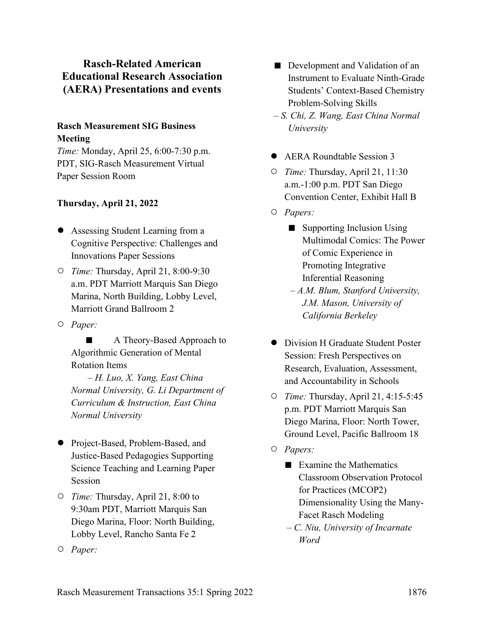## **Rasch-Related American Educational Research Association (AERA) Presentations and events**

## **Rasch Measurement SIG Business Meeting**

*Time:* Monday, April 25, 6:00-7:30 p.m. PDT, SIG-Rasch Measurement Virtual Paper Session Room

### **Thursday, April 21, 2022**

- Assessing Student Learning from a Cognitive Perspective: Challenges and Innovations Paper Sessions
- *Time:* Thursday, April 21, 8:00-9:30 a.m. PDT Marriott Marquis San Diego Marina, North Building, Lobby Level, Marriott Grand Ballroom 2
- *Paper:*

A Theory-Based Approach to Algorithmic Generation of Mental Rotation Items

 – *H. Luo, X. Yang, East China Normal University, G. Li Department of Curriculum & Instruction, East China Normal University*

- Project-Based, Problem-Based, and Justice-Based Pedagogies Supporting Science Teaching and Learning Paper Session
- *Time:* Thursday, April 21, 8:00 to 9:30am PDT, Marriott Marquis San Diego Marina, Floor: North Building, Lobby Level, Rancho Santa Fe 2
- *Paper:*
- Development and Validation of an Instrument to Evaluate Ninth-Grade Students' Context-Based Chemistry Problem-Solving Skills
- *S. Chi, Z. Wang, East China Normal University*
- AERA Roundtable Session 3
- *Time:* Thursday, April 21, 11:30 a.m.-1:00 p.m. PDT San Diego Convention Center, Exhibit Hall B
- *Papers:* 
	- Supporting Inclusion Using Multimodal Comics: The Power of Comic Experience in Promoting Integrative Inferential Reasoning
	- *A.M. Blum, Stanford University, J.M. Mason, University of California Berkeley*
- Division H Graduate Student Poster Session: Fresh Perspectives on Research, Evaluation, Assessment, and Accountability in Schools
- *Time:* Thursday, April 21, 4:15-5:45 p.m. PDT Marriott Marquis San Diego Marina, Floor: North Tower, Ground Level, Pacific Ballroom 18
- *Papers:* 
	- Examine the Mathematics Classroom Observation Protocol for Practices (MCOP2) Dimensionality Using the Many-Facet Rasch Modeling
	- *C. Niu, University of Incarnate Word*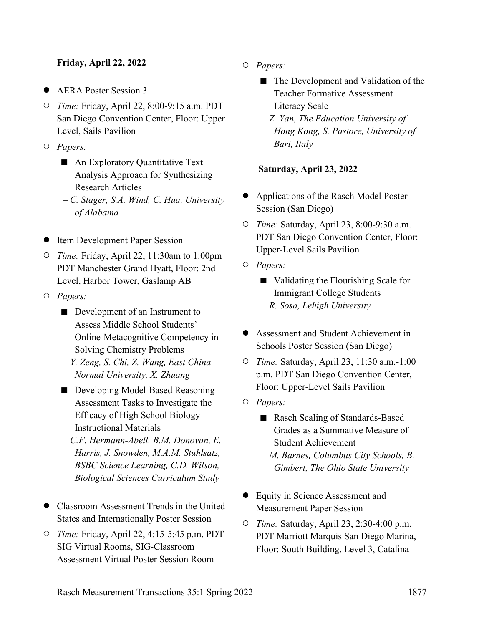### **Friday, April 22, 2022**

- AERA Poster Session 3
- *Time:* Friday, April 22, 8:00-9:15 a.m. PDT San Diego Convention Center, Floor: Upper Level, Sails Pavilion
- *Papers:* 
	- An Exploratory Quantitative Text Analysis Approach for Synthesizing Research Articles
	- *C. Stager, S.A. Wind, C. Hua, University of Alabama*
- Item Development Paper Session
- *Time:* Friday, April 22, 11:30am to 1:00pm PDT Manchester Grand Hyatt, Floor: 2nd Level, Harbor Tower, Gaslamp AB
- *Papers:* 
	- Development of an Instrument to Assess Middle School Students' Online-Metacognitive Competency in Solving Chemistry Problems
	- *Y. Zeng, S. Chi, Z. Wang, East China Normal University, X. Zhuang*
	- Developing Model-Based Reasoning Assessment Tasks to Investigate the Efficacy of High School Biology Instructional Materials
	- *C.F. Hermann-Abell, B.M. Donovan, E. Harris, J. Snowden, M.A.M. Stuhlsatz, BSBC Science Learning, C.D. Wilson, Biological Sciences Curriculum Study*
- Classroom Assessment Trends in the United States and Internationally Poster Session
- *Time:* Friday, April 22, 4:15-5:45 p.m. PDT SIG Virtual Rooms, SIG-Classroom Assessment Virtual Poster Session Room
- *Papers:* 
	- The Development and Validation of the Teacher Formative Assessment Literacy Scale
	- *Z. Yan, The Education University of Hong Kong, S. Pastore, University of Bari, Italy*

### **Saturday, April 23, 2022**

- Applications of the Rasch Model Poster Session (San Diego)
- *Time:* Saturday, April 23, 8:00-9:30 a.m. PDT San Diego Convention Center, Floor: Upper-Level Sails Pavilion
- *Papers:* 
	- Validating the Flourishing Scale for Immigrant College Students – *R. Sosa, Lehigh University*
- Assessment and Student Achievement in Schools Poster Session (San Diego)
- *Time:* Saturday, April 23, 11:30 a.m.-1:00 p.m. PDT San Diego Convention Center, Floor: Upper-Level Sails Pavilion
- *Papers:* 
	- Rasch Scaling of Standards-Based Grades as a Summative Measure of Student Achievement
	- *M. Barnes, Columbus City Schools, B. Gimbert, The Ohio State University*
- Equity in Science Assessment and Measurement Paper Session
- *Time:* Saturday, April 23, 2:30-4:00 p.m. PDT Marriott Marquis San Diego Marina, Floor: South Building, Level 3, Catalina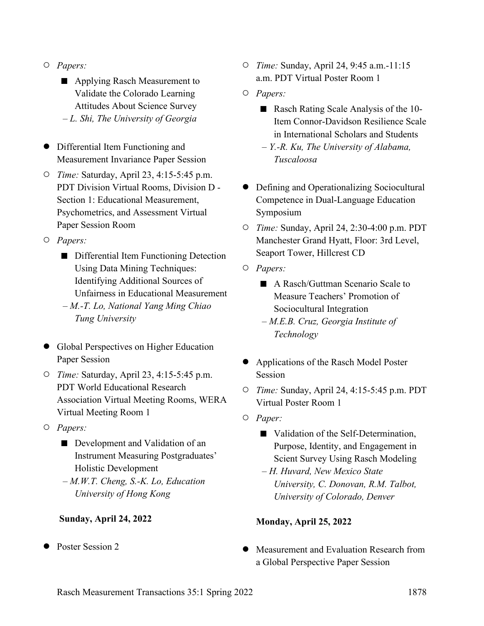- *Papers:* 
	- Applying Rasch Measurement to Validate the Colorado Learning Attitudes About Science Survey – *L. Shi, The University of Georgia*
- Differential Item Functioning and Measurement Invariance Paper Session
- *Time:* Saturday, April 23, 4:15-5:45 p.m. PDT Division Virtual Rooms, Division D - Section 1: Educational Measurement, Psychometrics, and Assessment Virtual Paper Session Room
- *Papers:* 
	- Differential Item Functioning Detection Using Data Mining Techniques: Identifying Additional Sources of Unfairness in Educational Measurement
	- *M.-T. Lo, National Yang Ming Chiao Tung University*
- Global Perspectives on Higher Education Paper Session
- *Time:* Saturday, April 23, 4:15-5:45 p.m. PDT World Educational Research Association Virtual Meeting Rooms, WERA Virtual Meeting Room 1
- *Papers:* 
	- Development and Validation of an Instrument Measuring Postgraduates' Holistic Development
	- *M.W.T. Cheng, S.-K. Lo, Education University of Hong Kong*

### **Sunday, April 24, 2022**

Poster Session 2

- *Time:* Sunday, April 24, 9:45 a.m.-11:15 a.m. PDT Virtual Poster Room 1
- *Papers:* 
	- Rasch Rating Scale Analysis of the 10-Item Connor-Davidson Resilience Scale in International Scholars and Students
	- *Y.-R. Ku, The University of Alabama, Tuscaloosa*
- Defining and Operationalizing Sociocultural Competence in Dual-Language Education Symposium
- *Time:* Sunday, April 24, 2:30-4:00 p.m. PDT Manchester Grand Hyatt, Floor: 3rd Level, Seaport Tower, Hillcrest CD
- *Papers:* 
	- A Rasch/Guttman Scenario Scale to Measure Teachers' Promotion of Sociocultural Integration
	- *M.E.B. Cruz, Georgia Institute of Technology*
- Applications of the Rasch Model Poster Session
- *Time:* Sunday, April 24, 4:15-5:45 p.m. PDT Virtual Poster Room 1
- *Paper:* 
	- Validation of the Self-Determination, Purpose, Identity, and Engagement in Scient Survey Using Rasch Modeling
	- *H. Huvard, New Mexico State University, C. Donovan, R.M. Talbot, University of Colorado, Denver*

### **Monday, April 25, 2022**

Measurement and Evaluation Research from a Global Perspective Paper Session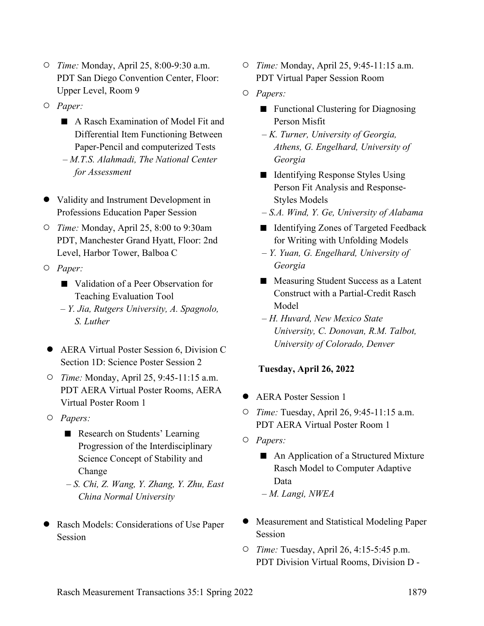- *Time:* Monday, April 25, 8:00-9:30 a.m. PDT San Diego Convention Center, Floor: Upper Level, Room 9
- *Paper:* 
	- A Rasch Examination of Model Fit and Differential Item Functioning Between Paper-Pencil and computerized Tests
	- *M.T.S. Alahmadi, The National Center for Assessment*
- Validity and Instrument Development in Professions Education Paper Session
- *Time:* Monday, April 25, 8:00 to 9:30am PDT, Manchester Grand Hyatt, Floor: 2nd Level, Harbor Tower, Balboa C
- *Paper:* 
	- Validation of a Peer Observation for Teaching Evaluation Tool
	- *Y. Jia, Rutgers University, A. Spagnolo, S. Luther*
- AERA Virtual Poster Session 6, Division C Section 1D: Science Poster Session 2
- *Time:* Monday, April 25, 9:45-11:15 a.m. PDT AERA Virtual Poster Rooms, AERA Virtual Poster Room 1
- *Papers:* 
	- Research on Students' Learning Progression of the Interdisciplinary Science Concept of Stability and Change
	- *S. Chi, Z. Wang, Y. Zhang, Y. Zhu, East China Normal University*
- Rasch Models: Considerations of Use Paper Session
- *Time:* Monday, April 25, 9:45-11:15 a.m. PDT Virtual Paper Session Room
- *Papers:* 
	- Functional Clustering for Diagnosing Person Misfit
	- *K. Turner, University of Georgia, Athens, G. Engelhard, University of Georgia*
	- Identifying Response Styles Using Person Fit Analysis and Response-Styles Models
	- *S.A. Wind, Y. Ge, University of Alabama*
	- Identifying Zones of Targeted Feedback for Writing with Unfolding Models
	- *Y. Yuan, G. Engelhard, University of Georgia*
	- Measuring Student Success as a Latent Construct with a Partial-Credit Rasch Model
	- *H. Huvard, New Mexico State University, C. Donovan, R.M. Talbot, University of Colorado, Denver*

### **Tuesday, April 26, 2022**

- AERA Poster Session 1
- *Time:* Tuesday, April 26, 9:45-11:15 a.m. PDT AERA Virtual Poster Room 1
- *Papers:* 
	- An Application of a Structured Mixture Rasch Model to Computer Adaptive Data
	- *M. Langi, NWEA*
- Measurement and Statistical Modeling Paper Session
- *Time:* Tuesday, April 26, 4:15-5:45 p.m. PDT Division Virtual Rooms, Division D -